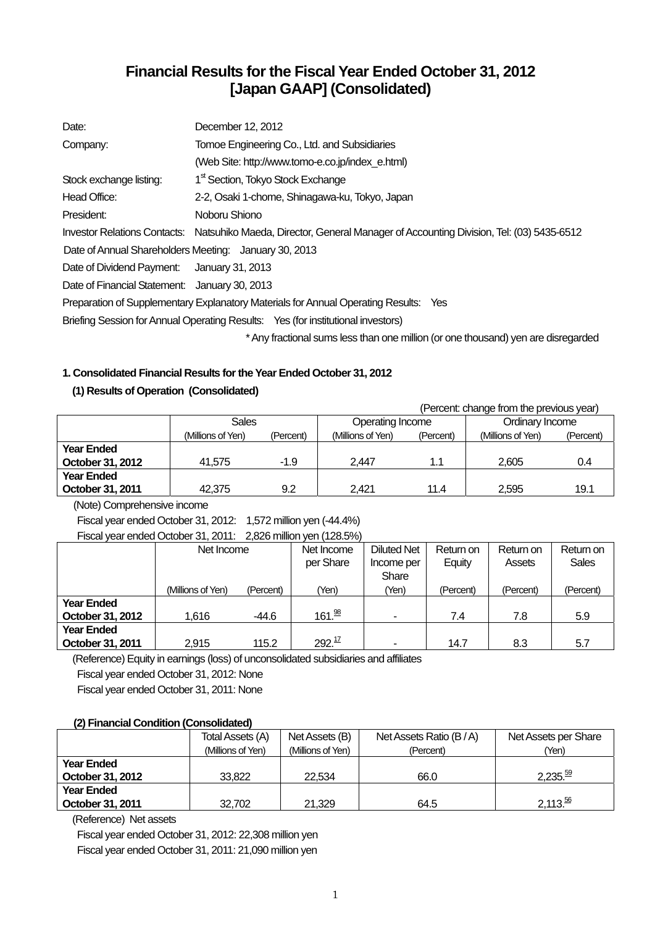# **Financial Results for the Fiscal Year Ended October 31, 2012 [Japan GAAP] (Consolidated)**

| Date:                                                 | December 12, 2012                                                                                                   |
|-------------------------------------------------------|---------------------------------------------------------------------------------------------------------------------|
| Company:                                              | Tomoe Engineering Co., Ltd. and Subsidiaries                                                                        |
|                                                       | (Web Site: http://www.tomo-e.co.jp/index e.html)                                                                    |
| Stock exchange listing:                               | 1 <sup>st</sup> Section, Tokyo Stock Exchange                                                                       |
| Head Office:                                          | 2-2, Osaki 1-chome, Shinagawa-ku, Tokyo, Japan                                                                      |
| President:                                            | Noboru Shiono                                                                                                       |
|                                                       | Investor Relations Contacts: Natsuhiko Maeda, Director, General Manager of Accounting Division, Tel: (03) 5435-6512 |
| Date of Annual Shareholders Meeting: January 30, 2013 |                                                                                                                     |
| Date of Dividend Payment: January 31, 2013            |                                                                                                                     |
| Date of Financial Statement: January 30, 2013         |                                                                                                                     |
|                                                       | Preparation of Supplementary Explanatory Materials for Annual Operating Results: Yes                                |
|                                                       | Briefing Session for Annual Operating Results: Yes (for institutional investors)                                    |
|                                                       | * Any fractional sums less than one million (or one thousand) yen are disregarded                                   |

# **1. Consolidated Financial Results for the Year Ended October 31, 2012**

## **(1) Results of Operation (Consolidated)**

 (Percent: change from the previous year) Sales **Operating Income Ordinary Income** (Millions of Yen) (Percent) (Millions of Yen) (Percent) (Millions of Yen) (Percent) **Year Ended October 31, 2012**  $\begin{array}{|c|c|c|c|c|c|} \hline \end{array}$  41,575 -1.9  $\begin{array}{|c|c|c|c|c|} \hline \end{array}$  2,447 -1.1  $\begin{array}{|c|c|c|c|c|} \hline \end{array}$  2,605 - 0.4 **Year Ended October 31, 2011** 42,375 9.2 2,421 11.4 2,595 19.1

(Note) Comprehensive income

Fiscal year ended October 31, 2012: 1,572 million yen (-44.4%)

Fiscal year ended October 31, 2011: 2,826 million yen (128.5%)

|                   | Net Income        |           | Net Income         | <b>Diluted Net</b>       | Return on | Return on | Return on    |
|-------------------|-------------------|-----------|--------------------|--------------------------|-----------|-----------|--------------|
|                   |                   |           | per Share          | Income per               | Equity    | Assets    | <b>Sales</b> |
|                   |                   |           |                    | Share                    |           |           |              |
|                   | (Millions of Yen) | (Percent) | 'Yen)              | (Yen)                    | (Percent) | (Percent) | (Percent)    |
| <b>Year Ended</b> |                   |           |                    |                          |           |           |              |
| October 31, 2012  | 1,616             | $-44.6$   | 161. <sup>98</sup> | $\overline{\phantom{0}}$ | 7.4       | 7.8       | 5.9          |
| <b>Year Ended</b> |                   |           |                    |                          |           |           |              |
| October 31, 2011  | 2,915             | 115.2     | 292. <sup>17</sup> | ۰                        | 14.7      | 8.3       | 5.7          |

(Reference) Equity in earnings (loss) of unconsolidated subsidiaries and affiliates

Fiscal year ended October 31, 2012: None

Fiscal year ended October 31, 2011: None

#### **(2) Financial Condition (Consolidated)**

|                   | <b>Total Assets (A)</b> | Net Assets (B)    | Net Assets Ratio (B/A) | Net Assets per Share |
|-------------------|-------------------------|-------------------|------------------------|----------------------|
|                   | (Millions of Yen)       | (Millions of Yen) | (Percent)              | (Yen)                |
| <b>Year Ended</b> |                         |                   |                        |                      |
| October 31, 2012  | 33,822                  | 22.534            | 66.0                   | 2,235. <sup>59</sup> |
| <b>Year Ended</b> |                         |                   |                        |                      |
| October 31, 2011  | 32.702                  | 21.329            | 64.5                   | $2,113.\frac{56}{6}$ |

(Reference) Net assets

Fiscal year ended October 31, 2012: 22,308 million yen Fiscal year ended October 31, 2011: 21,090 million yen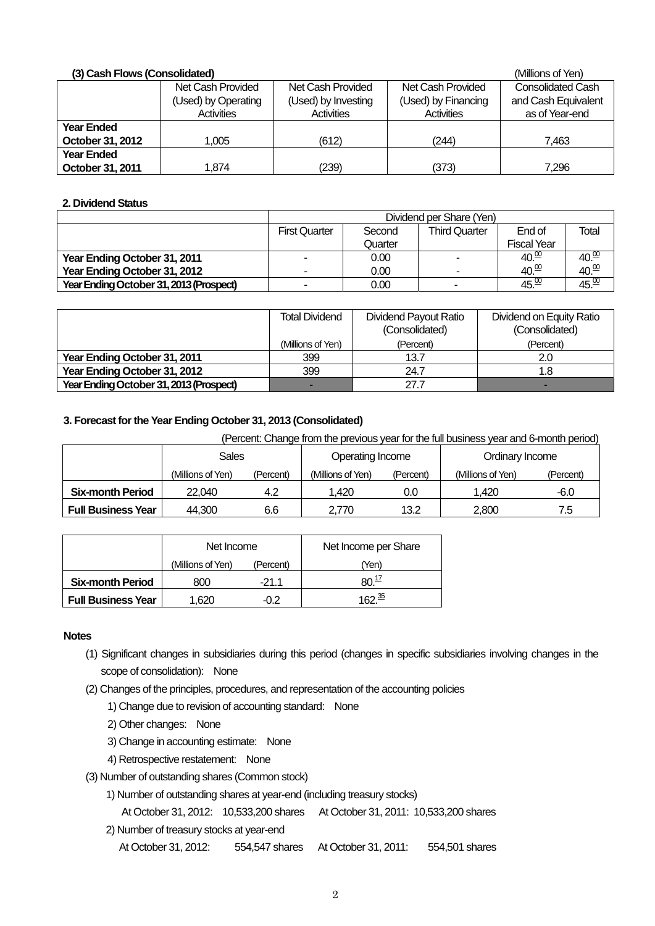| (3) Cash Flows (Consolidated) |                     | (Millions of Yen)   |                     |                          |
|-------------------------------|---------------------|---------------------|---------------------|--------------------------|
|                               | Net Cash Provided   | Net Cash Provided   | Net Cash Provided   | <b>Consolidated Cash</b> |
|                               | (Used) by Operating | (Used) by Investing | (Used) by Financing | and Cash Equivalent      |
|                               | Activities          | Activities          | Activities          | as of Year-end           |
| Year Ended                    |                     |                     |                     |                          |
| October 31, 2012              | 1.005               | (612)               | (244)               | 7.463                    |
| <b>Year Ended</b>             |                     |                     |                     |                          |
| October 31, 2011              | 1.874               | (239)               | (373)               | 7,296                    |

#### **2. Dividend Status**

|                                         | Dividend per Share (Yen) |         |                          |                    |                   |  |  |
|-----------------------------------------|--------------------------|---------|--------------------------|--------------------|-------------------|--|--|
|                                         | <b>First Quarter</b>     | Second  | <b>Third Quarter</b>     | End of             | Total             |  |  |
|                                         |                          | Quarter |                          | <b>Fiscal Year</b> |                   |  |  |
| Year Ending October 31, 2011            | -                        | 0.00    | $\overline{\phantom{a}}$ | 40.00              | 40.00             |  |  |
| Year Ending October 31, 2012            | -                        | 0.00    | -                        | $40\frac{00}{10}$  | $40\frac{00}{10}$ |  |  |
| Year Ending October 31, 2013 (Prospect) | -                        | 0.00    | -                        | 45. <sup>00</sup>  | 45.00             |  |  |

|                                         | <b>Total Dividend</b> | Dividend Payout Ratio<br>(Consolidated) | Dividend on Equity Ratio<br>(Consolidated) |
|-----------------------------------------|-----------------------|-----------------------------------------|--------------------------------------------|
|                                         | (Millions of Yen)     | (Percent)                               | (Percent)                                  |
| Year Ending October 31, 2011            | 399                   | 13.7                                    | 2.0                                        |
| Year Ending October 31, 2012            | 399                   | 24.7                                    | 1.8                                        |
| Year Ending October 31, 2013 (Prospect) |                       | 27.7                                    | -                                          |

### **3. Forecast for the Year Ending October 31, 2013 (Consolidated)**

(Percent: Change from the previous year for the full business year and 6-month period)

|                           | Sales             |           | Operating Income  |           | Ordinary Income   |           |
|---------------------------|-------------------|-----------|-------------------|-----------|-------------------|-----------|
|                           | (Millions of Yen) | (Percent) | (Millions of Yen) | (Percent) | (Millions of Yen) | (Percent) |
| <b>Six-month Period</b>   | 22,040            | 4.2       | 1,420             | 0.0       | 1.420             | $-6.0$    |
| <b>Full Business Year</b> | 44.300            | 6.6       | 2.770             | 13.2      | 2.800             | 7.5       |

|                           | Net Income        |           | Net Income per Share |
|---------------------------|-------------------|-----------|----------------------|
|                           | (Millions of Yen) | (Percent) | (Yen                 |
| <b>Six-month Period</b>   | 800               | -21 1     | 80. $\frac{17}{1}$   |
| <b>Full Business Year</b> | 1.620             | $-0.2$    | 1ດາ <sup>35</sup>    |

### **Notes**

- (1) Significant changes in subsidiaries during this period (changes in specific subsidiaries involving changes in the scope of consolidation): None
- (2) Changes of the principles, procedures, and representation of the accounting policies
	- 1) Change due to revision of accounting standard: None
	- 2) Other changes: None
	- 3) Change in accounting estimate: None
	- 4) Retrospective restatement: None
- (3) Number of outstanding shares (Common stock)
	- 1) Number of outstanding shares at year-end (including treasury stocks)
		- At October 31, 2012: 10,533,200 shares At October 31, 2011: 10,533,200 shares
	- 2) Number of treasury stocks at year-end
		- At October 31, 2012: 554,547 shares At October 31, 2011: 554,501 shares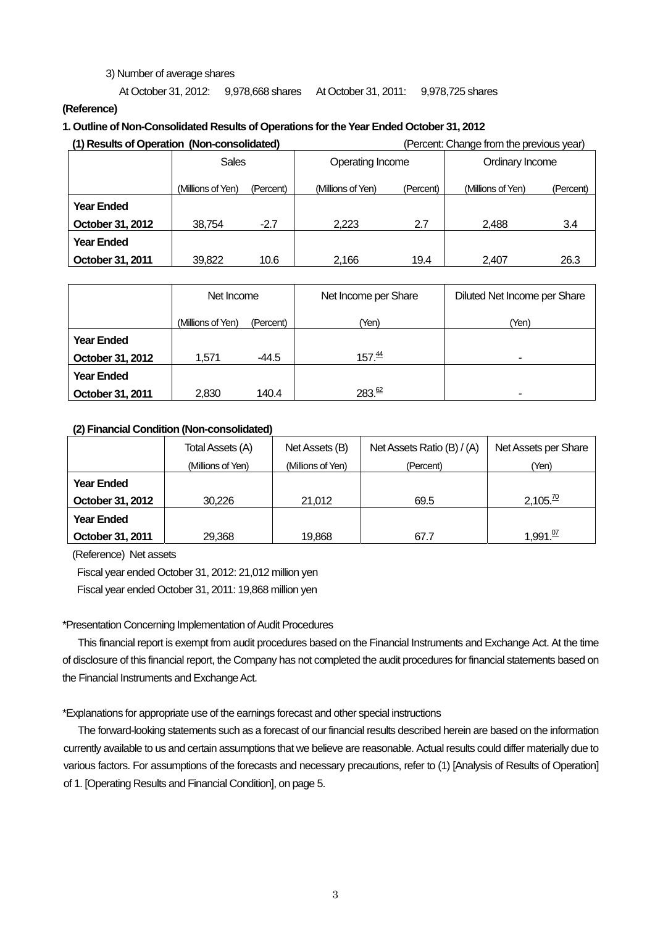#### 3) Number of average shares

At October 31, 2012: 9,978,668 shares At October 31, 2011: 9,978,725 shares

#### **(Reference)**

#### **1. Outline of Non-Consolidated Results of Operations for the Year Ended October 31, 2012**

| (1) Results of Operation (Non-consolidated) |                   |           | (Percent: Change from the previous year) |           |                   |           |
|---------------------------------------------|-------------------|-----------|------------------------------------------|-----------|-------------------|-----------|
|                                             | <b>Sales</b>      |           | Operating Income                         |           | Ordinary Income   |           |
|                                             | (Millions of Yen) | (Percent) | (Millions of Yen)                        | (Percent) | (Millions of Yen) | (Percent) |
| <b>Year Ended</b>                           |                   |           |                                          |           |                   |           |
| October 31, 2012                            | 38,754            | $-2.7$    | 2.223                                    | 2.7       | 2.488             | 3.4       |
| <b>Year Ended</b>                           |                   |           |                                          |           |                   |           |
| October 31, 2011                            | 39,822            | 10.6      | 2.166                                    | 19.4      | 2.407             | 26.3      |

|                   | Net Income        |           | Net Income per Share | Diluted Net Income per Share |
|-------------------|-------------------|-----------|----------------------|------------------------------|
|                   | (Millions of Yen) | (Percent) | (Yen)                | (Yen)                        |
| <b>Year Ended</b> |                   |           |                      |                              |
| October 31, 2012  | 1,571             | -44.5     | 157 <sup>44</sup>    | -                            |
| <b>Year Ended</b> |                   |           |                      |                              |
| October 31, 2011  | 2,830             | 140.4     | 283. <sup>62</sup>   |                              |

#### **(2) Financial Condition (Non-consolidated)**

|                   | Total Assets (A)  | Net Assets (B)    | Net Assets Ratio (B) / (A) | Net Assets per Share  |
|-------------------|-------------------|-------------------|----------------------------|-----------------------|
|                   | (Millions of Yen) | (Millions of Yen) | (Percent)                  | (Yen)                 |
| <b>Year Ended</b> |                   |                   |                            |                       |
| October 31, 2012  | 30.226            | 21,012            | 69.5                       | $2,105.\overline{20}$ |
| <b>Year Ended</b> |                   |                   |                            |                       |
| October 31, 2011  | 29,368            | 19.868            | 67.7                       | 1,991. <sup>07</sup>  |

(Reference) Net assets

Fiscal year ended October 31, 2012: 21,012 million yen Fiscal year ended October 31, 2011: 19,868 million yen

#### \*Presentation Concerning Implementation of Audit Procedures

This financial report is exempt from audit procedures based on the Financial Instruments and Exchange Act. At the time of disclosure of this financial report, the Company has not completed the audit procedures for financial statements based on the Financial Instruments and Exchange Act.

#### \*Explanations for appropriate use of the earnings forecast and other special instructions

The forward-looking statements such as a forecast of our financial results described herein are based on the information currently available to us and certain assumptions that we believe are reasonable. Actual results could differ materially due to various factors. For assumptions of the forecasts and necessary precautions, refer to (1) [Analysis of Results of Operation] of 1. [Operating Results and Financial Condition], on page 5.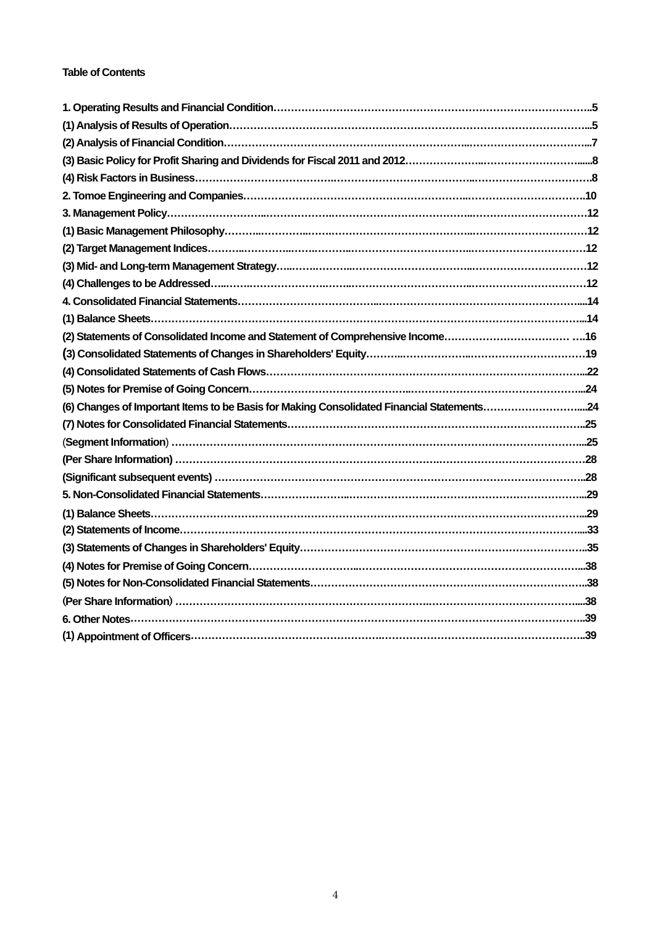## **Table of Contents**

| (2) Statements of Consolidated Income and Statement of Comprehensive Income16             |  |
|-------------------------------------------------------------------------------------------|--|
|                                                                                           |  |
|                                                                                           |  |
|                                                                                           |  |
| (6) Changes of Important Items to be Basis for Making Consolidated Financial Statements24 |  |
|                                                                                           |  |
|                                                                                           |  |
|                                                                                           |  |
|                                                                                           |  |
|                                                                                           |  |
|                                                                                           |  |
|                                                                                           |  |
|                                                                                           |  |
|                                                                                           |  |
|                                                                                           |  |
|                                                                                           |  |
|                                                                                           |  |
|                                                                                           |  |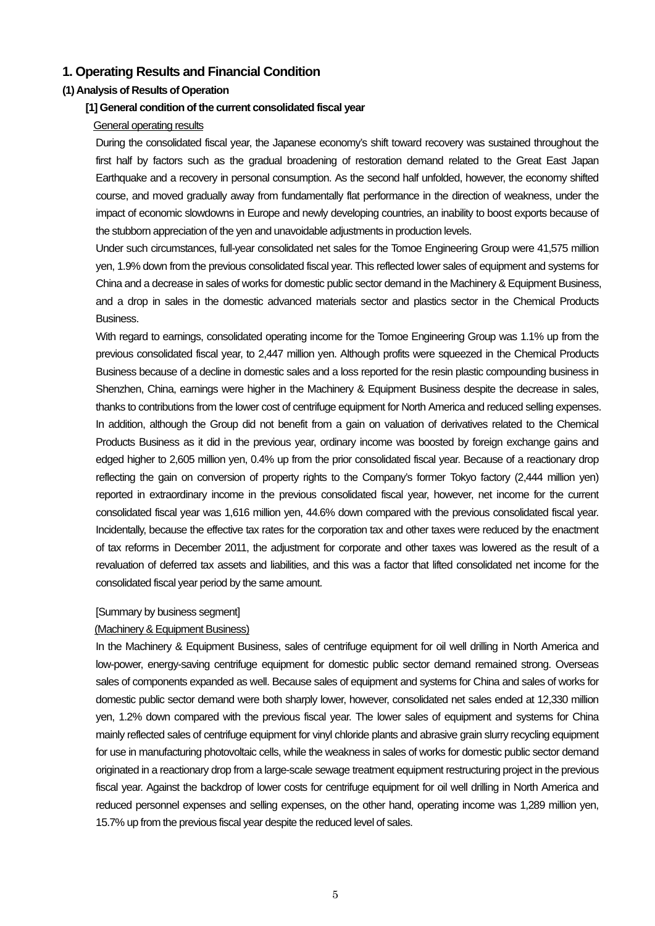# **1. Operating Results and Financial Condition**

### **(1) Analysis of Results of Operation**

#### **[1] General condition of the current consolidated fiscal year**

#### General operating results

During the consolidated fiscal year, the Japanese economy's shift toward recovery was sustained throughout the first half by factors such as the gradual broadening of restoration demand related to the Great East Japan Earthquake and a recovery in personal consumption. As the second half unfolded, however, the economy shifted course, and moved gradually away from fundamentally flat performance in the direction of weakness, under the impact of economic slowdowns in Europe and newly developing countries, an inability to boost exports because of the stubborn appreciation of the yen and unavoidable adjustments in production levels.

Under such circumstances, full-year consolidated net sales for the Tomoe Engineering Group were 41,575 million yen, 1.9% down from the previous consolidated fiscal year. This reflected lower sales of equipment and systems for China and a decrease in sales of works for domestic public sector demand in the Machinery & Equipment Business, and a drop in sales in the domestic advanced materials sector and plastics sector in the Chemical Products Business.

With regard to earnings, consolidated operating income for the Tomoe Engineering Group was 1.1% up from the previous consolidated fiscal year, to 2,447 million yen. Although profits were squeezed in the Chemical Products Business because of a decline in domestic sales and a loss reported for the resin plastic compounding business in Shenzhen, China, earnings were higher in the Machinery & Equipment Business despite the decrease in sales. thanks to contributions from the lower cost of centrifuge equipment for North America and reduced selling expenses. In addition, although the Group did not benefit from a gain on valuation of derivatives related to the Chemical Products Business as it did in the previous year, ordinary income was boosted by foreign exchange gains and edged higher to 2,605 million yen, 0.4% up from the prior consolidated fiscal year. Because of a reactionary drop reflecting the gain on conversion of property rights to the Company's former Tokyo factory (2,444 million yen) reported in extraordinary income in the previous consolidated fiscal year, however, net income for the current consolidated fiscal year was 1,616 million yen, 44.6% down compared with the previous consolidated fiscal year. Incidentally, because the effective tax rates for the corporation tax and other taxes were reduced by the enactment of tax reforms in December 2011, the adjustment for corporate and other taxes was lowered as the result of a revaluation of deferred tax assets and liabilities, and this was a factor that lifted consolidated net income for the consolidated fiscal year period by the same amount.

#### [Summary by business segment]

#### (Machinery & Equipment Business)

In the Machinery & Equipment Business, sales of centrifuge equipment for oil well drilling in North America and low-power, energy-saving centrifuge equipment for domestic public sector demand remained strong. Overseas sales of components expanded as well. Because sales of equipment and systems for China and sales of works for domestic public sector demand were both sharply lower, however, consolidated net sales ended at 12,330 million yen, 1.2% down compared with the previous fiscal year. The lower sales of equipment and systems for China mainly reflected sales of centrifuge equipment for vinyl chloride plants and abrasive grain slurry recycling equipment for use in manufacturing photovoltaic cells, while the weakness in sales of works for domestic public sector demand originated in a reactionary drop from a large-scale sewage treatment equipment restructuring project in the previous fiscal year. Against the backdrop of lower costs for centrifuge equipment for oil well drilling in North America and reduced personnel expenses and selling expenses, on the other hand, operating income was 1,289 million yen, 15.7% up from the previous fiscal year despite the reduced level of sales.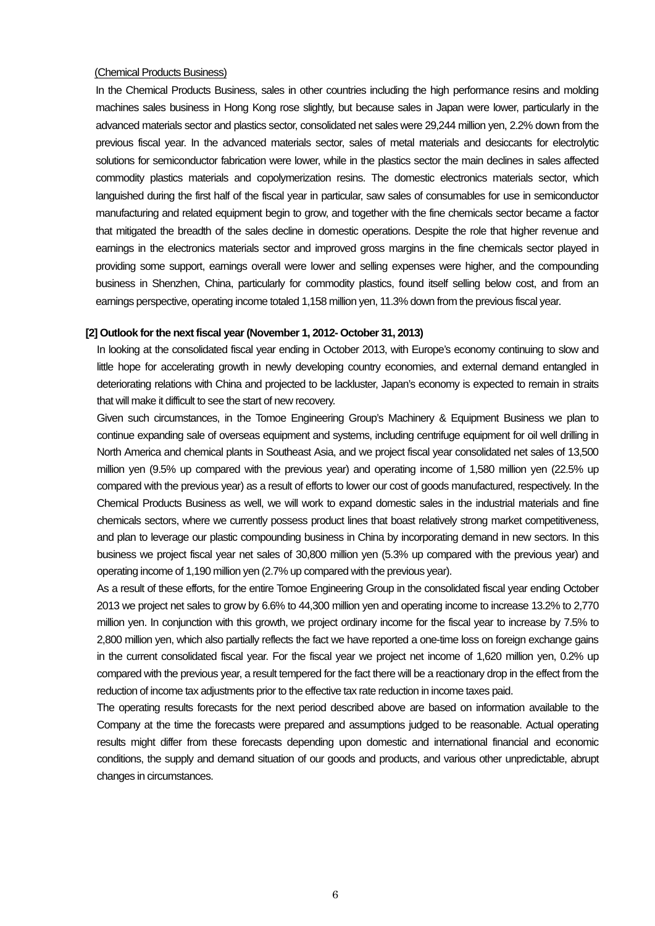#### (Chemical Products Business)

In the Chemical Products Business, sales in other countries including the high performance resins and molding machines sales business in Hong Kong rose slightly, but because sales in Japan were lower, particularly in the advanced materials sector and plastics sector, consolidated net sales were 29,244 million yen, 2.2% down from the previous fiscal year. In the advanced materials sector, sales of metal materials and desiccants for electrolytic solutions for semiconductor fabrication were lower, while in the plastics sector the main declines in sales affected commodity plastics materials and copolymerization resins. The domestic electronics materials sector, which languished during the first half of the fiscal year in particular, saw sales of consumables for use in semiconductor manufacturing and related equipment begin to grow, and together with the fine chemicals sector became a factor that mitigated the breadth of the sales decline in domestic operations. Despite the role that higher revenue and earnings in the electronics materials sector and improved gross margins in the fine chemicals sector played in providing some support, earnings overall were lower and selling expenses were higher, and the compounding business in Shenzhen, China, particularly for commodity plastics, found itself selling below cost, and from an earnings perspective, operating income totaled 1,158 million yen, 11.3% down from the previous fiscal year.

#### **[2] Outlook for the next fiscal year (November 1, 2012- October 31, 2013)**

In looking at the consolidated fiscal year ending in October 2013, with Europe's economy continuing to slow and little hope for accelerating growth in newly developing country economies, and external demand entangled in deteriorating relations with China and projected to be lackluster, Japan's economy is expected to remain in straits that will make it difficult to see the start of new recovery.

Given such circumstances, in the Tomoe Engineering Group's Machinery & Equipment Business we plan to continue expanding sale of overseas equipment and systems, including centrifuge equipment for oil well drilling in North America and chemical plants in Southeast Asia, and we project fiscal year consolidated net sales of 13,500 million yen (9.5% up compared with the previous year) and operating income of 1,580 million yen (22.5% up compared with the previous year) as a result of efforts to lower our cost of goods manufactured, respectively. In the Chemical Products Business as well, we will work to expand domestic sales in the industrial materials and fine chemicals sectors, where we currently possess product lines that boast relatively strong market competitiveness, and plan to leverage our plastic compounding business in China by incorporating demand in new sectors. In this business we project fiscal year net sales of 30,800 million yen (5.3% up compared with the previous year) and operating income of 1,190 million yen (2.7% up compared with the previous year).

As a result of these efforts, for the entire Tomoe Engineering Group in the consolidated fiscal year ending October 2013 we project net sales to grow by 6.6% to 44,300 million yen and operating income to increase 13.2% to 2,770 million yen. In conjunction with this growth, we project ordinary income for the fiscal year to increase by 7.5% to 2,800 million yen, which also partially reflects the fact we have reported a one-time loss on foreign exchange gains in the current consolidated fiscal year. For the fiscal year we project net income of 1,620 million yen, 0.2% up compared with the previous year, a result tempered for the fact there will be a reactionary drop in the effect from the reduction of income tax adjustments prior to the effective tax rate reduction in income taxes paid.

The operating results forecasts for the next period described above are based on information available to the Company at the time the forecasts were prepared and assumptions judged to be reasonable. Actual operating results might differ from these forecasts depending upon domestic and international financial and economic conditions, the supply and demand situation of our goods and products, and various other unpredictable, abrupt changes in circumstances.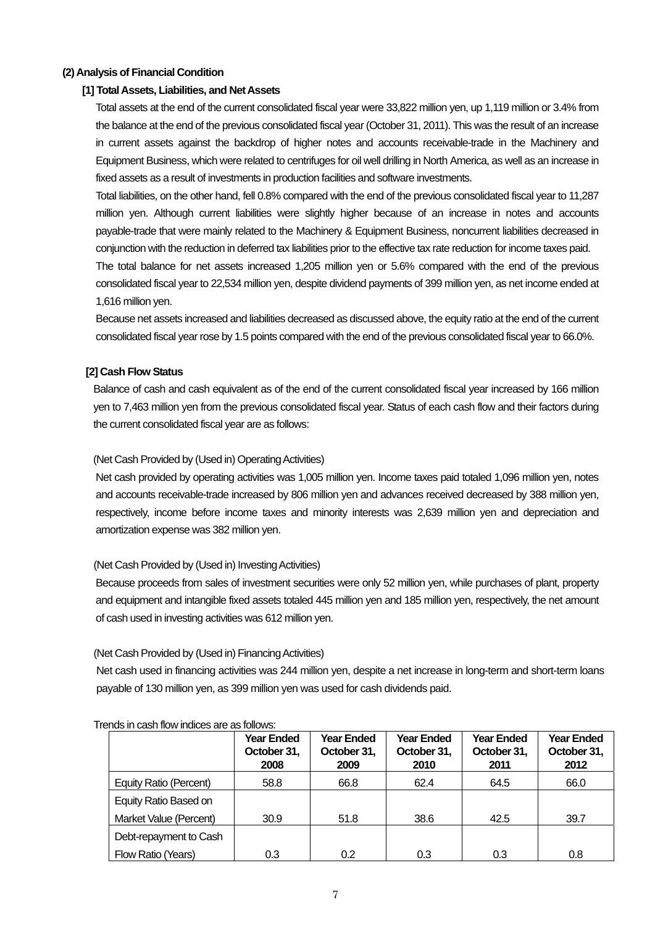# **(2) Analysis of Financial Condition**

#### **[1] Total Assets, Liabilities, and Net Assets**

Total assets at the end of the current consolidated fiscal year were 33,822 million yen, up 1,119 million or 3.4% from the balance at the end of the previous consolidated fiscal year (October 31, 2011). This was the result of an increase in current assets against the backdrop of higher notes and accounts receivable-trade in the Machinery and Equipment Business, which were related to centrifuges for oil well drilling in North America, as well as an increase in fixed assets as a result of investments in production facilities and software investments.

Total liabilities, on the other hand, fell 0.8% compared with the end of the previous consolidated fiscal year to 11,287 million yen. Although current liabilities were slightly higher because of an increase in notes and accounts payable-trade that were mainly related to the Machinery & Equipment Business, noncurrent liabilities decreased in conjunction with the reduction in deferred tax liabilities prior to the effective tax rate reduction for income taxes paid.

The total balance for net assets increased 1,205 million yen or 5.6% compared with the end of the previous consolidated fiscal year to 22,534 million yen, despite dividend payments of 399 million yen, as net income ended at 1,616 million yen.

Because net assets increased and liabilities decreased as discussed above, the equity ratio at the end of the current consolidated fiscal year rose by 1.5 points compared with the end of the previous consolidated fiscal year to 66.0%.

#### **[2] Cash Flow Status**

Balance of cash and cash equivalent as of the end of the current consolidated fiscal year increased by 166 million yen to 7,463 million yen from the previous consolidated fiscal year. Status of each cash flow and their factors during the current consolidated fiscal year are as follows:

#### (Net Cash Provided by (Used in) Operating Activities)

Net cash provided by operating activities was 1,005 million yen. Income taxes paid totaled 1,096 million yen, notes and accounts receivable-trade increased by 806 million yen and advances received decreased by 388 million yen, respectively, income before income taxes and minority interests was 2,639 million yen and depreciation and amortization expense was 382 million yen.

#### (Net Cash Provided by (Used in) Investing Activities)

Because proceeds from sales of investment securities were only 52 million yen, while purchases of plant, property and equipment and intangible fixed assets totaled 445 million yen and 185 million yen, respectively, the net amount of cash used in investing activities was 612 million yen.

#### (Net Cash Provided by (Used in) Financing Activities)

Net cash used in financing activities was 244 million yen, despite a net increase in long-term and short-term loans payable of 130 million yen, as 399 million yen was used for cash dividends paid.

|                        | <b>Year Ended</b><br>October 31,<br>2008 | <b>Year Ended</b><br>October 31,<br>2009 | <b>Year Ended</b><br>October 31,<br>2010 | <b>Year Ended</b><br>October 31,<br>2011 | <b>Year Ended</b><br>October 31,<br>2012 |
|------------------------|------------------------------------------|------------------------------------------|------------------------------------------|------------------------------------------|------------------------------------------|
| Equity Ratio (Percent) | 58.8                                     | 66.8                                     | 62.4                                     | 64.5                                     | 66.0                                     |
| Equity Ratio Based on  |                                          |                                          |                                          |                                          |                                          |
| Market Value (Percent) | 30.9                                     | 51.8                                     | 38.6                                     | 42.5                                     | 39.7                                     |
| Debt-repayment to Cash |                                          |                                          |                                          |                                          |                                          |
| Flow Ratio (Years)     | 0.3                                      | 0.2                                      | 0.3                                      | 0.3                                      | 0.8                                      |

#### Trends in cash flow indices are as follows: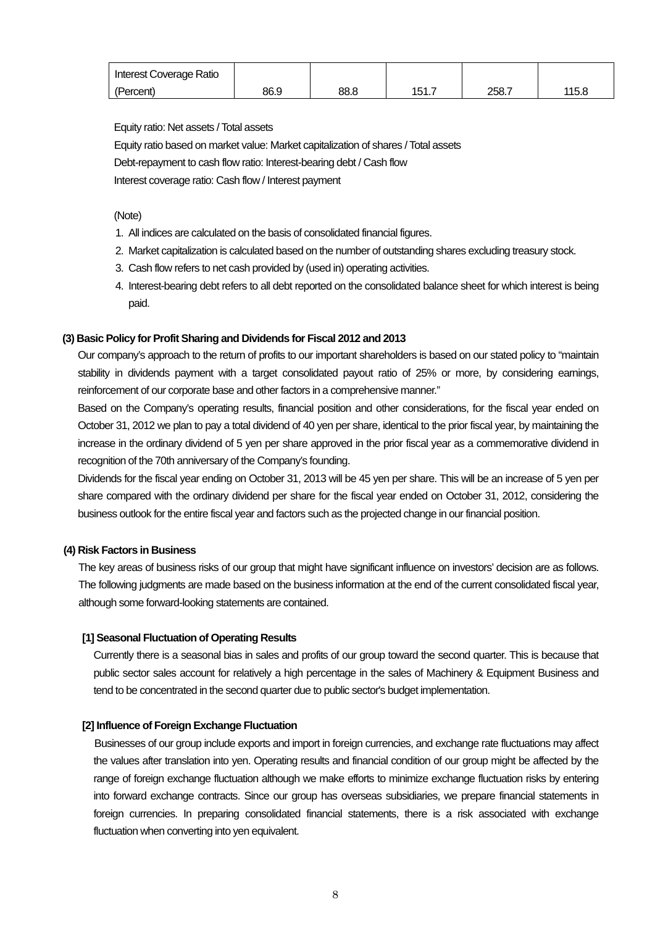| Interest Coverage Ratio |      |      |       |       |       |
|-------------------------|------|------|-------|-------|-------|
| (Percent)               | 86.9 | 88.8 | 151.7 | 258.7 | 115.8 |

Equity ratio: Net assets / Total assets

Equity ratio based on market value: Market capitalization of shares / Total assets Debt-repayment to cash flow ratio: Interest-bearing debt / Cash flow Interest coverage ratio: Cash flow / Interest payment

(Note)

- 1. All indices are calculated on the basis of consolidated financial figures.
- 2. Market capitalization is calculated based on the number of outstanding shares excluding treasury stock.
- 3. Cash flow refers to net cash provided by (used in) operating activities.
- 4. Interest-bearing debt refers to all debt reported on the consolidated balance sheet for which interest is being paid.

## **(3) Basic Policy for Profit Sharing and Dividends for Fiscal 2012 and 2013**

Our company's approach to the return of profits to our important shareholders is based on our stated policy to "maintain stability in dividends payment with a target consolidated payout ratio of 25% or more, by considering earnings, reinforcement of our corporate base and other factors in a comprehensive manner."

Based on the Company's operating results, financial position and other considerations, for the fiscal year ended on October 31, 2012 we plan to pay a total dividend of 40 yen per share, identical to the prior fiscal year, by maintaining the increase in the ordinary dividend of 5 yen per share approved in the prior fiscal year as a commemorative dividend in recognition of the 70th anniversary of the Company's founding.

Dividends for the fiscal year ending on October 31, 2013 will be 45 yen per share. This will be an increase of 5 yen per share compared with the ordinary dividend per share for the fiscal year ended on October 31, 2012, considering the business outlook for the entire fiscal year and factors such as the projected change in our financial position.

#### **(4) Risk Factors in Business**

The key areas of business risks of our group that might have significant influence on investors' decision are as follows. The following judgments are made based on the business information at the end of the current consolidated fiscal year, although some forward-looking statements are contained.

#### **[1] Seasonal Fluctuation of Operating Results**

Currently there is a seasonal bias in sales and profits of our group toward the second quarter. This is because that public sector sales account for relatively a high percentage in the sales of Machinery & Equipment Business and tend to be concentrated in the second quarter due to public sector's budget implementation.

#### **[2] Influence of Foreign Exchange Fluctuation**

Businesses of our group include exports and import in foreign currencies, and exchange rate fluctuations may affect the values after translation into yen. Operating results and financial condition of our group might be affected by the range of foreign exchange fluctuation although we make efforts to minimize exchange fluctuation risks by entering into forward exchange contracts. Since our group has overseas subsidiaries, we prepare financial statements in foreign currencies. In preparing consolidated financial statements, there is a risk associated with exchange fluctuation when converting into yen equivalent.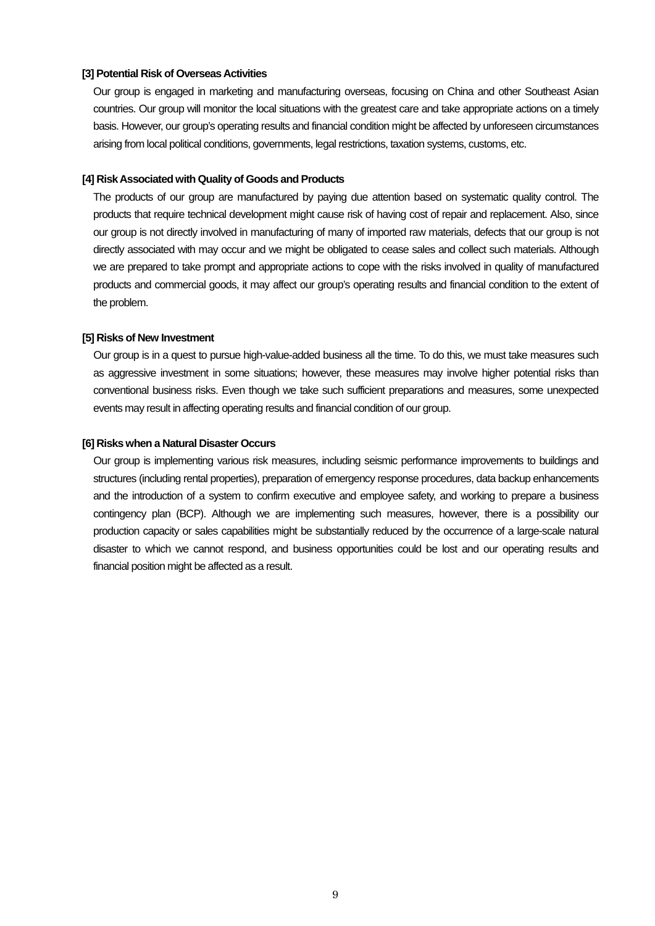#### **[3] Potential Risk of Overseas Activities**

Our group is engaged in marketing and manufacturing overseas, focusing on China and other Southeast Asian countries. Our group will monitor the local situations with the greatest care and take appropriate actions on a timely basis. However, our group's operating results and financial condition might be affected by unforeseen circumstances arising from local political conditions, governments, legal restrictions, taxation systems, customs, etc.

#### **[4] Risk Associated with Quality of Goods and Products**

The products of our group are manufactured by paying due attention based on systematic quality control. The products that require technical development might cause risk of having cost of repair and replacement. Also, since our group is not directly involved in manufacturing of many of imported raw materials, defects that our group is not directly associated with may occur and we might be obligated to cease sales and collect such materials. Although we are prepared to take prompt and appropriate actions to cope with the risks involved in quality of manufactured products and commercial goods, it may affect our group's operating results and financial condition to the extent of the problem.

#### **[5] Risks of New Investment**

Our group is in a quest to pursue high-value-added business all the time. To do this, we must take measures such as aggressive investment in some situations; however, these measures may involve higher potential risks than conventional business risks. Even though we take such sufficient preparations and measures, some unexpected events may result in affecting operating results and financial condition of our group.

#### **[6] Risks when a Natural Disaster Occurs**

Our group is implementing various risk measures, including seismic performance improvements to buildings and structures (including rental properties), preparation of emergency response procedures, data backup enhancements and the introduction of a system to confirm executive and employee safety, and working to prepare a business contingency plan (BCP). Although we are implementing such measures, however, there is a possibility our production capacity or sales capabilities might be substantially reduced by the occurrence of a large-scale natural disaster to which we cannot respond, and business opportunities could be lost and our operating results and financial position might be affected as a result.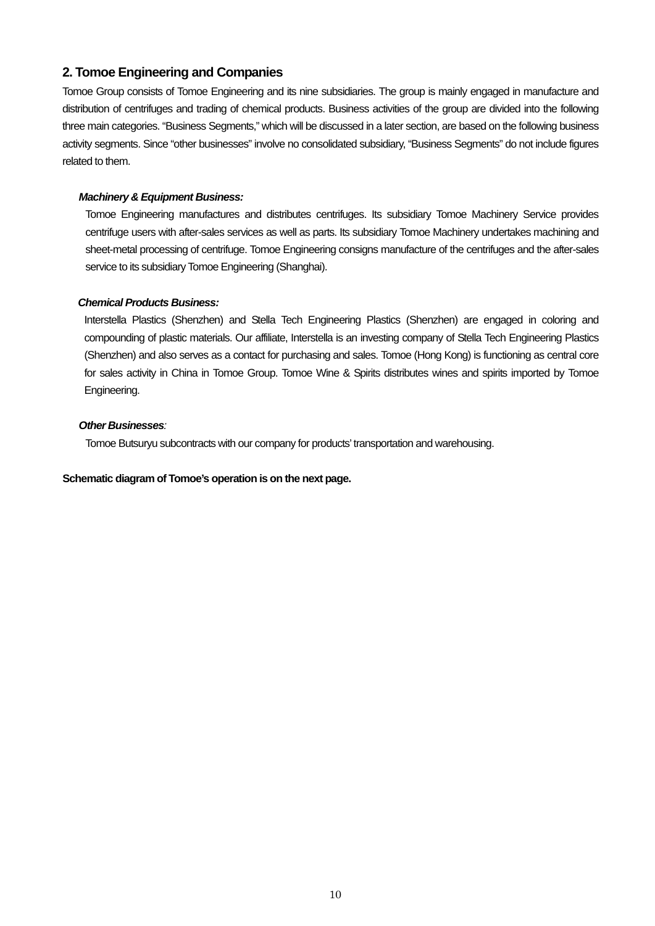# **2. Tomoe Engineering and Companies**

Tomoe Group consists of Tomoe Engineering and its nine subsidiaries. The group is mainly engaged in manufacture and distribution of centrifuges and trading of chemical products. Business activities of the group are divided into the following three main categories. "Business Segments," which will be discussed in a later section, are based on the following business activity segments. Since "other businesses" involve no consolidated subsidiary, "Business Segments" do not include figures related to them.

#### *Machinery & Equipment Business:*

Tomoe Engineering manufactures and distributes centrifuges. Its subsidiary Tomoe Machinery Service provides centrifuge users with after-sales services as well as parts. Its subsidiary Tomoe Machinery undertakes machining and sheet-metal processing of centrifuge. Tomoe Engineering consigns manufacture of the centrifuges and the after-sales service to its subsidiary Tomoe Engineering (Shanghai).

#### *Chemical Products Business:*

Interstella Plastics (Shenzhen) and Stella Tech Engineering Plastics (Shenzhen) are engaged in coloring and compounding of plastic materials. Our affiliate, Interstella is an investing company of Stella Tech Engineering Plastics (Shenzhen) and also serves as a contact for purchasing and sales. Tomoe (Hong Kong) is functioning as central core for sales activity in China in Tomoe Group. Tomoe Wine & Spirits distributes wines and spirits imported by Tomoe Engineering.

#### *Other Businesses:*

Tomoe Butsuryu subcontracts with our company for products' transportation and warehousing.

#### **Schematic diagram of Tomoe's operation is on the next page.**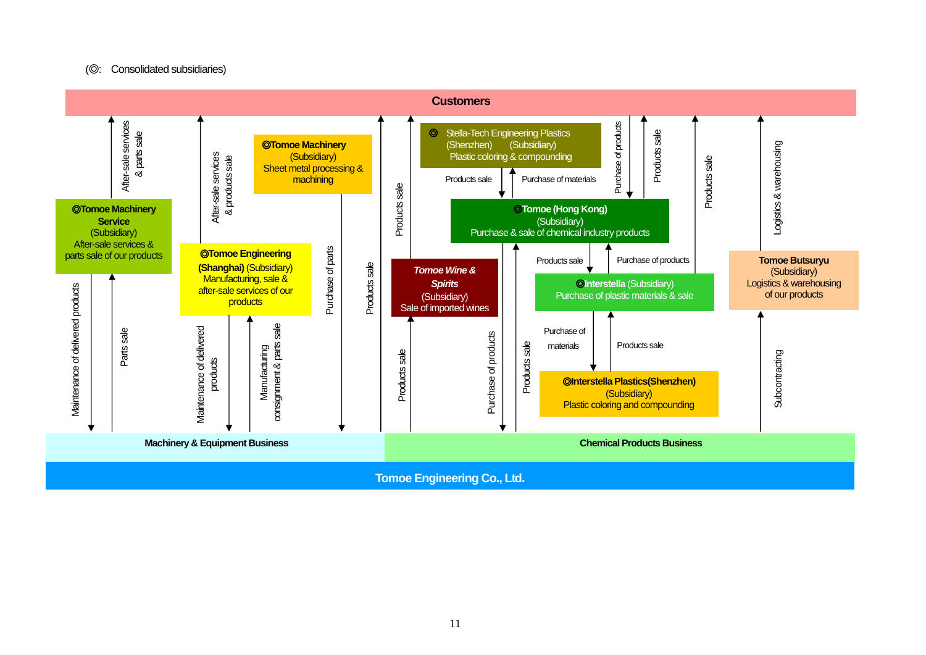#### (◎: Consolidated subsidiaries)

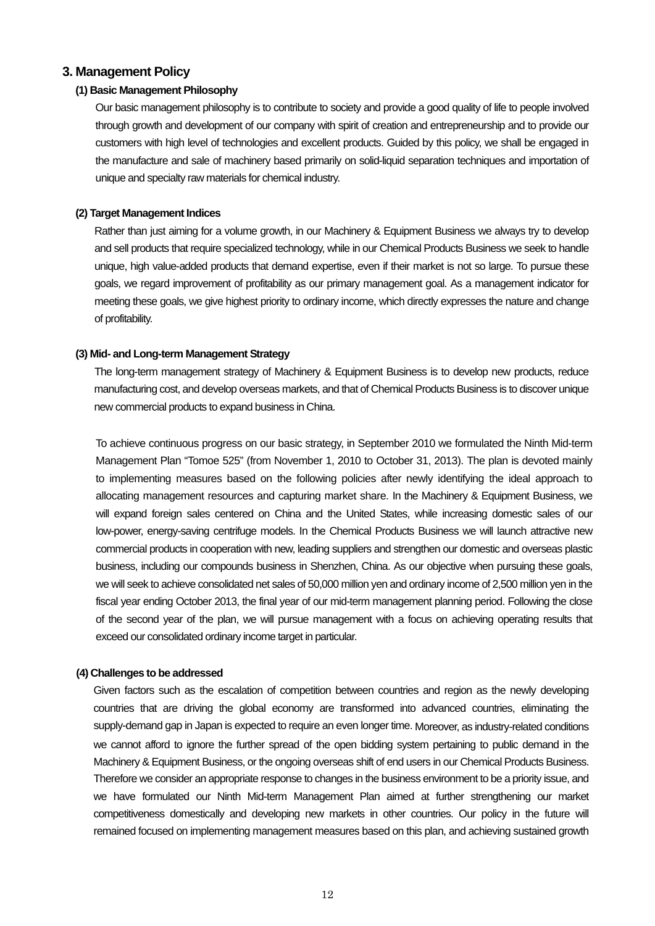## **3. Management Policy**

#### **(1) Basic Management Philosophy**

Our basic management philosophy is to contribute to society and provide a good quality of life to people involved through growth and development of our company with spirit of creation and entrepreneurship and to provide our customers with high level of technologies and excellent products. Guided by this policy, we shall be engaged in the manufacture and sale of machinery based primarily on solid-liquid separation techniques and importation of unique and specialty raw materials for chemical industry.

#### **(2) Target Management Indices**

Rather than just aiming for a volume growth, in our Machinery & Equipment Business we always try to develop and sell products that require specialized technology, while in our Chemical Products Business we seek to handle unique, high value-added products that demand expertise, even if their market is not so large. To pursue these goals, we regard improvement of profitability as our primary management goal. As a management indicator for meeting these goals, we give highest priority to ordinary income, which directly expresses the nature and change of profitability.

#### **(3) Mid- and Long-term Management Strategy**

The long-term management strategy of Machinery & Equipment Business is to develop new products, reduce manufacturing cost, and develop overseas markets, and that of Chemical Products Business is to discover unique new commercial products to expand business in China.

To achieve continuous progress on our basic strategy, in September 2010 we formulated the Ninth Mid-term Management Plan "Tomoe 525" (from November 1, 2010 to October 31, 2013). The plan is devoted mainly to implementing measures based on the following policies after newly identifying the ideal approach to allocating management resources and capturing market share. In the Machinery & Equipment Business, we will expand foreign sales centered on China and the United States, while increasing domestic sales of our low-power, energy-saving centrifuge models. In the Chemical Products Business we will launch attractive new commercial products in cooperation with new, leading suppliers and strengthen our domestic and overseas plastic business, including our compounds business in Shenzhen, China. As our objective when pursuing these goals, we will seek to achieve consolidated net sales of 50,000 million yen and ordinary income of 2,500 million yen in the fiscal year ending October 2013, the final year of our mid-term management planning period. Following the close of the second year of the plan, we will pursue management with a focus on achieving operating results that exceed our consolidated ordinary income target in particular.

#### **(4) Challenges to be addressed**

Given factors such as the escalation of competition between countries and region as the newly developing countries that are driving the global economy are transformed into advanced countries, eliminating the supply-demand gap in Japan is expected to require an even longer time. Moreover, as industry-related conditions we cannot afford to ignore the further spread of the open bidding system pertaining to public demand in the Machinery & Equipment Business, or the ongoing overseas shift of end users in our Chemical Products Business. Therefore we consider an appropriate response to changes in the business environment to be a priority issue, and we have formulated our Ninth Mid-term Management Plan aimed at further strengthening our market competitiveness domestically and developing new markets in other countries. Our policy in the future will remained focused on implementing management measures based on this plan, and achieving sustained growth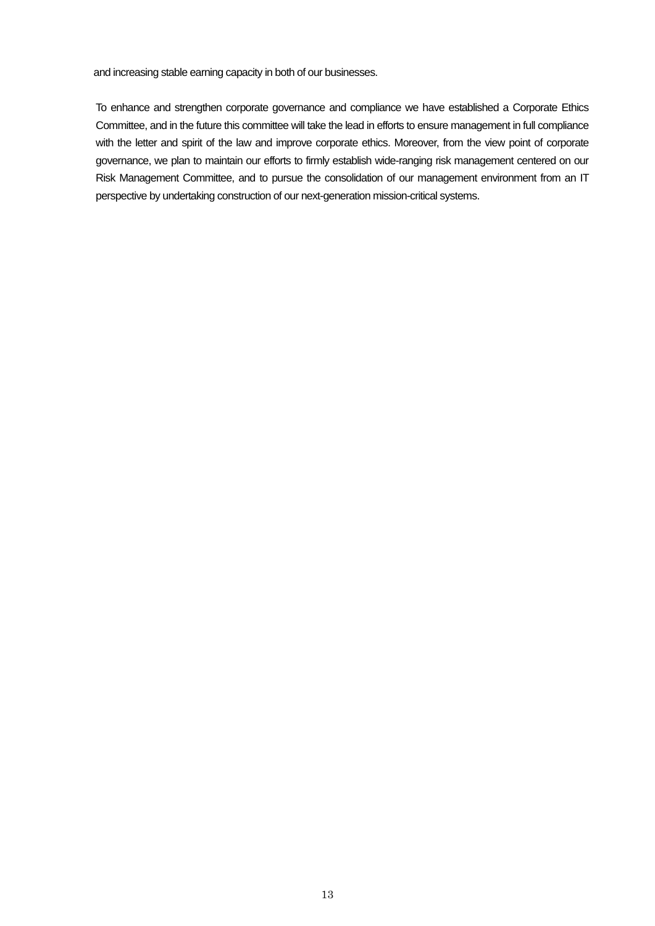and increasing stable earning capacity in both of our businesses.

To enhance and strengthen corporate governance and compliance we have established a Corporate Ethics Committee, and in the future this committee will take the lead in efforts to ensure management in full compliance with the letter and spirit of the law and improve corporate ethics. Moreover, from the view point of corporate governance, we plan to maintain our efforts to firmly establish wide-ranging risk management centered on our Risk Management Committee, and to pursue the consolidation of our management environment from an IT perspective by undertaking construction of our next-generation mission-critical systems.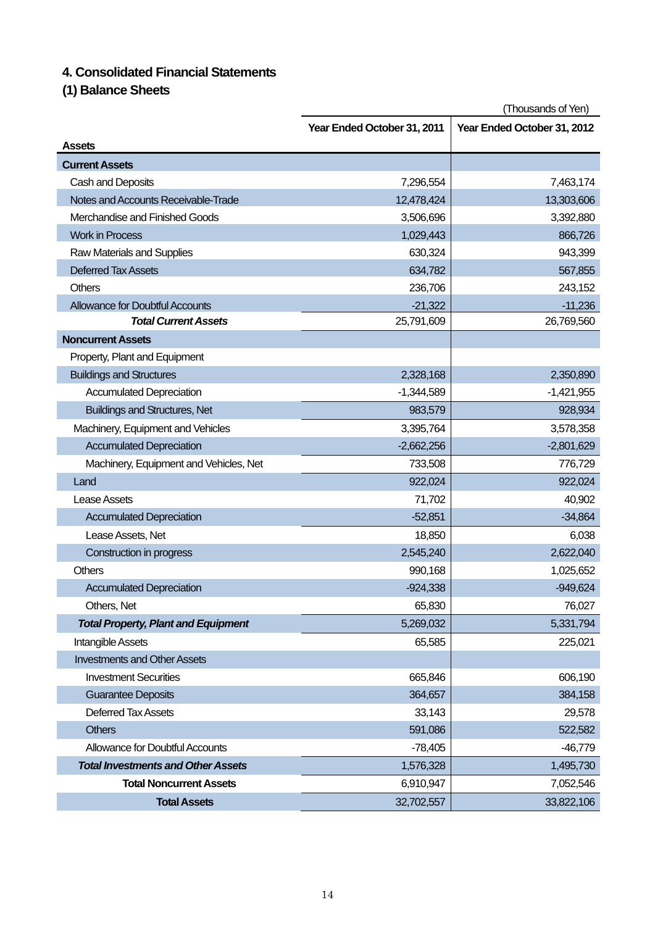# **4. Consolidated Financial Statements**

**(1) Balance Sheets** 

|                                            | (Thousands of Yen)          |                             |
|--------------------------------------------|-----------------------------|-----------------------------|
|                                            | Year Ended October 31, 2011 | Year Ended October 31, 2012 |
| <b>Assets</b>                              |                             |                             |
| <b>Current Assets</b>                      |                             |                             |
| Cash and Deposits                          | 7,296,554                   | 7,463,174                   |
| Notes and Accounts Receivable-Trade        | 12,478,424                  | 13,303,606                  |
| Merchandise and Finished Goods             | 3,506,696                   | 3,392,880                   |
| <b>Work in Process</b>                     | 1,029,443                   | 866,726                     |
| Raw Materials and Supplies                 | 630,324                     | 943,399                     |
| <b>Deferred Tax Assets</b>                 | 634,782                     | 567,855                     |
| <b>Others</b>                              | 236,706                     | 243,152                     |
| <b>Allowance for Doubtful Accounts</b>     | $-21,322$                   | $-11,236$                   |
| <b>Total Current Assets</b>                | 25,791,609                  | 26,769,560                  |
| <b>Noncurrent Assets</b>                   |                             |                             |
| Property, Plant and Equipment              |                             |                             |
| <b>Buildings and Structures</b>            | 2,328,168                   | 2,350,890                   |
| <b>Accumulated Depreciation</b>            | $-1,344,589$                | $-1,421,955$                |
| <b>Buildings and Structures, Net</b>       | 983,579                     | 928,934                     |
| Machinery, Equipment and Vehicles          | 3,395,764                   | 3,578,358                   |
| <b>Accumulated Depreciation</b>            | $-2,662,256$                | $-2,801,629$                |
| Machinery, Equipment and Vehicles, Net     | 733,508                     | 776,729                     |
| Land                                       | 922,024                     | 922,024                     |
| Lease Assets                               | 71,702                      | 40,902                      |
| <b>Accumulated Depreciation</b>            | $-52,851$                   | $-34,864$                   |
| Lease Assets, Net                          | 18,850                      | 6,038                       |
| Construction in progress                   | 2,545,240                   | 2,622,040                   |
| Others                                     | 990,168                     | 1,025,652                   |
| <b>Accumulated Depreciation</b>            | $-924,338$                  | $-949,624$                  |
| Others, Net                                | 65,830                      | 76,027                      |
| <b>Total Property, Plant and Equipment</b> | 5,269,032                   | 5,331,794                   |
| Intangible Assets                          | 65,585                      | 225,021                     |
| <b>Investments and Other Assets</b>        |                             |                             |
| <b>Investment Securities</b>               | 665,846                     | 606,190                     |
| <b>Guarantee Deposits</b>                  | 364,657                     | 384,158                     |
| Deferred Tax Assets                        | 33,143                      | 29,578                      |
| <b>Others</b>                              | 591,086                     | 522,582                     |
| <b>Allowance for Doubtful Accounts</b>     | $-78,405$                   | $-46,779$                   |
| <b>Total Investments and Other Assets</b>  | 1,576,328                   | 1,495,730                   |
| <b>Total Noncurrent Assets</b>             | 6,910,947                   | 7,052,546                   |
| <b>Total Assets</b>                        | 32,702,557                  | 33,822,106                  |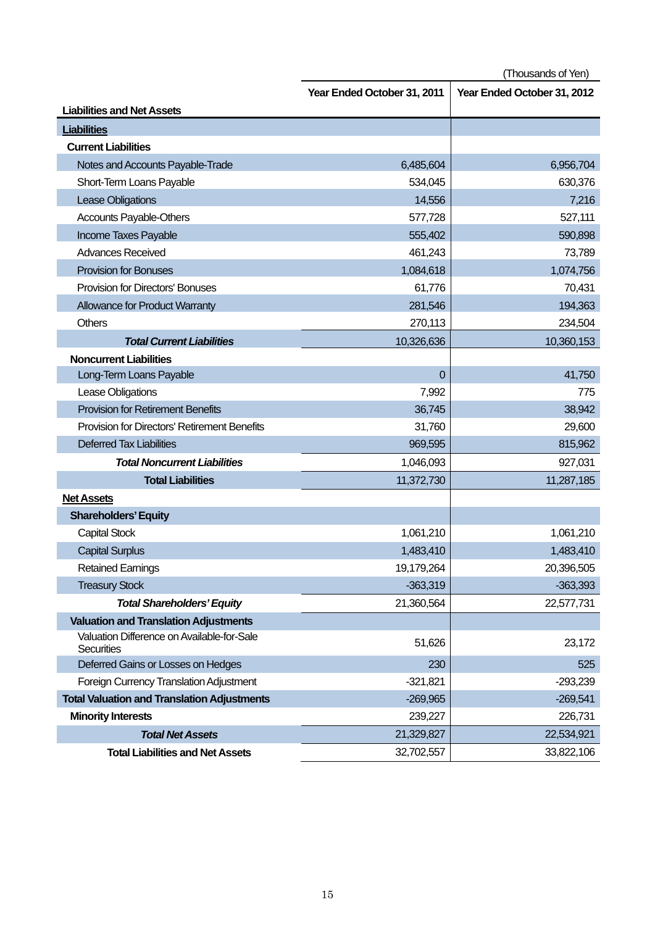(Thousands of Yen)

|                                                                 | Year Ended October 31, 2011 | Year Ended October 31, 2012 |
|-----------------------------------------------------------------|-----------------------------|-----------------------------|
| <b>Liabilities and Net Assets</b>                               |                             |                             |
| <b>Liabilities</b>                                              |                             |                             |
| <b>Current Liabilities</b>                                      |                             |                             |
| Notes and Accounts Payable-Trade                                | 6,485,604                   | 6,956,704                   |
| Short-Term Loans Payable                                        | 534,045                     | 630,376                     |
| <b>Lease Obligations</b>                                        | 14,556                      | 7,216                       |
| <b>Accounts Payable-Others</b>                                  | 577,728                     | 527,111                     |
| Income Taxes Payable                                            | 555,402                     | 590,898                     |
| <b>Advances Received</b>                                        | 461,243                     | 73,789                      |
| <b>Provision for Bonuses</b>                                    | 1,084,618                   | 1,074,756                   |
| <b>Provision for Directors' Bonuses</b>                         | 61,776                      | 70,431                      |
| Allowance for Product Warranty                                  | 281,546                     | 194,363                     |
| <b>Others</b>                                                   | 270,113                     | 234,504                     |
| <b>Total Current Liabilities</b>                                | 10,326,636                  | 10,360,153                  |
| <b>Noncurrent Liabilities</b>                                   |                             |                             |
| Long-Term Loans Payable                                         | $\overline{0}$              | 41,750                      |
| Lease Obligations                                               | 7,992                       | 775                         |
| <b>Provision for Retirement Benefits</b>                        | 36,745                      | 38,942                      |
| Provision for Directors' Retirement Benefits                    | 31,760                      | 29,600                      |
| <b>Deferred Tax Liabilities</b>                                 | 969,595                     | 815,962                     |
| <b>Total Noncurrent Liabilities</b>                             | 1,046,093                   | 927,031                     |
| <b>Total Liabilities</b>                                        | 11,372,730                  | 11,287,185                  |
| <b>Net Assets</b>                                               |                             |                             |
| <b>Shareholders' Equity</b>                                     |                             |                             |
| <b>Capital Stock</b>                                            | 1,061,210                   | 1,061,210                   |
| <b>Capital Surplus</b>                                          | 1,483,410                   | 1,483,410                   |
| <b>Retained Earnings</b>                                        | 19,179,264                  | 20,396,505                  |
| <b>Treasury Stock</b>                                           | $-363,319$                  | $-363,393$                  |
| <b>Total Shareholders' Equity</b>                               | 21,360,564                  | 22,577,731                  |
| <b>Valuation and Translation Adjustments</b>                    |                             |                             |
| Valuation Difference on Available-for-Sale<br><b>Securities</b> | 51,626                      | 23,172                      |
| Deferred Gains or Losses on Hedges                              | 230                         | 525                         |
| <b>Foreign Currency Translation Adjustment</b>                  | $-321,821$                  | $-293,239$                  |
| <b>Total Valuation and Translation Adjustments</b>              | $-269,965$                  | $-269,541$                  |
| <b>Minority Interests</b>                                       | 239,227                     | 226,731                     |
| <b>Total Net Assets</b>                                         | 21,329,827                  | 22,534,921                  |
| <b>Total Liabilities and Net Assets</b>                         | 32,702,557                  | 33,822,106                  |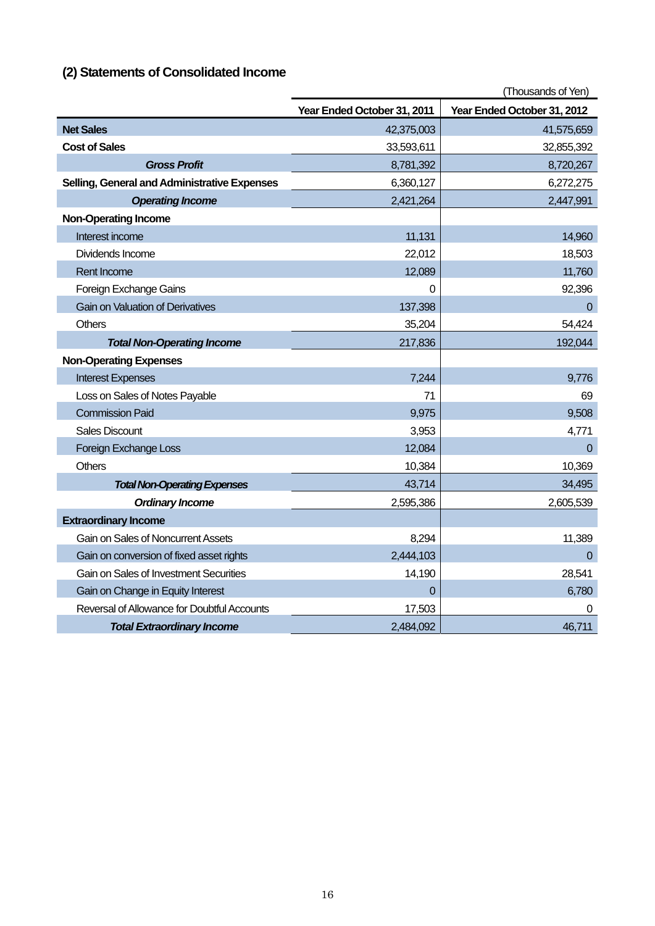| (2) Statements of Consolidated Income |
|---------------------------------------|
|---------------------------------------|

|                                                     |                             | (Thousands of Yen)          |
|-----------------------------------------------------|-----------------------------|-----------------------------|
|                                                     | Year Ended October 31, 2011 | Year Ended October 31, 2012 |
| <b>Net Sales</b>                                    | 42,375,003                  | 41,575,659                  |
| <b>Cost of Sales</b>                                | 33,593,611                  | 32,855,392                  |
| <b>Gross Profit</b>                                 | 8,781,392                   | 8,720,267                   |
| <b>Selling, General and Administrative Expenses</b> | 6,360,127                   | 6,272,275                   |
| <b>Operating Income</b>                             | 2,421,264                   | 2,447,991                   |
| <b>Non-Operating Income</b>                         |                             |                             |
| Interest income                                     | 11,131                      | 14,960                      |
| Dividends Income                                    | 22,012                      | 18,503                      |
| <b>Rent Income</b>                                  | 12,089                      | 11,760                      |
| Foreign Exchange Gains                              | 0                           | 92,396                      |
| <b>Gain on Valuation of Derivatives</b>             | 137,398                     | $\Omega$                    |
| <b>Others</b>                                       | 35,204                      | 54,424                      |
| <b>Total Non-Operating Income</b>                   | 217,836                     | 192,044                     |
| <b>Non-Operating Expenses</b>                       |                             |                             |
| <b>Interest Expenses</b>                            | 7,244                       | 9,776                       |
| Loss on Sales of Notes Payable                      | 71                          | 69                          |
| <b>Commission Paid</b>                              | 9,975                       | 9,508                       |
| <b>Sales Discount</b>                               | 3,953                       | 4,771                       |
| Foreign Exchange Loss                               | 12,084                      | $\Omega$                    |
| <b>Others</b>                                       | 10,384                      | 10,369                      |
| <b>Total Non-Operating Expenses</b>                 | 43,714                      | 34,495                      |
| <b>Ordinary Income</b>                              | 2,595,386                   | 2,605,539                   |
| <b>Extraordinary Income</b>                         |                             |                             |
| Gain on Sales of Noncurrent Assets                  | 8,294                       | 11,389                      |
| Gain on conversion of fixed asset rights            | 2,444,103                   | $\mathbf 0$                 |
| <b>Gain on Sales of Investment Securities</b>       | 14,190                      | 28,541                      |
| Gain on Change in Equity Interest                   | $\Omega$                    | 6,780                       |
| Reversal of Allowance for Doubtful Accounts         | 17,503                      | 0                           |
| <b>Total Extraordinary Income</b>                   | 2,484,092                   | 46,711                      |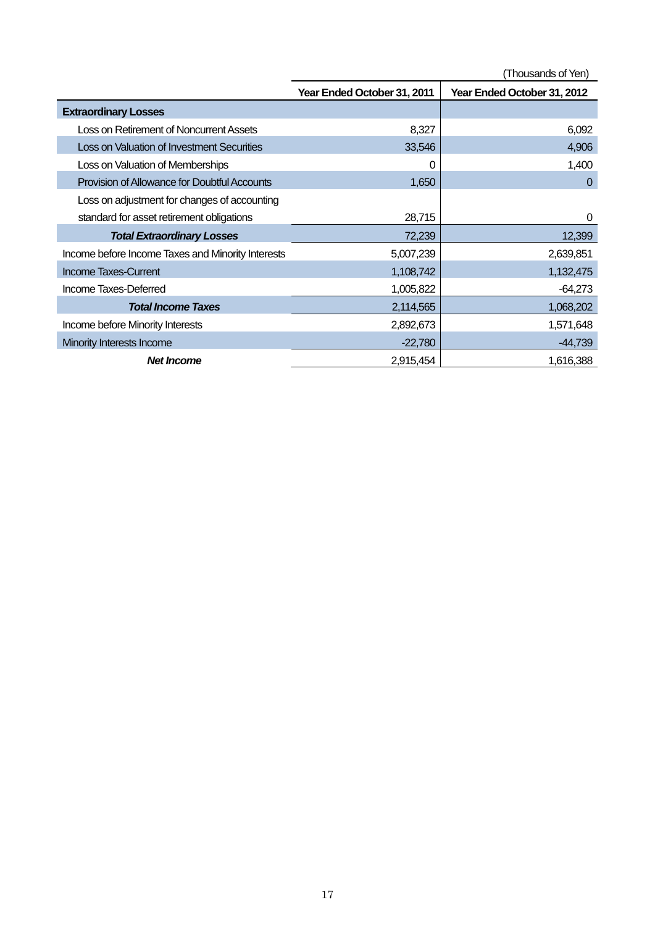(Thousands of Yen)

|                                                   | Year Ended October 31, 2011 | Year Ended October 31, 2012 |
|---------------------------------------------------|-----------------------------|-----------------------------|
| <b>Extraordinary Losses</b>                       |                             |                             |
| Loss on Retirement of Noncurrent Assets           | 8,327                       | 6,092                       |
| Loss on Valuation of Investment Securities        | 33,546                      | 4,906                       |
| Loss on Valuation of Memberships                  | 0                           | 1,400                       |
| Provision of Allowance for Doubtful Accounts      | 1,650                       | $\overline{0}$              |
| Loss on adjustment for changes of accounting      |                             |                             |
| standard for asset retirement obligations         | 28,715                      | 0                           |
| <b>Total Extraordinary Losses</b>                 | 72,239                      | 12,399                      |
| Income before Income Taxes and Minority Interests | 5,007,239                   | 2,639,851                   |
| <b>Income Taxes-Current</b>                       | 1,108,742                   | 1,132,475                   |
| Income Taxes-Deferred                             | 1,005,822                   | $-64,273$                   |
| <b>Total Income Taxes</b>                         | 2,114,565                   | 1,068,202                   |
| Income before Minority Interests                  | 2,892,673                   | 1,571,648                   |
| Minority Interests Income                         | $-22,780$                   | $-44,739$                   |
| <b>Net Income</b>                                 | 2,915,454                   | 1,616,388                   |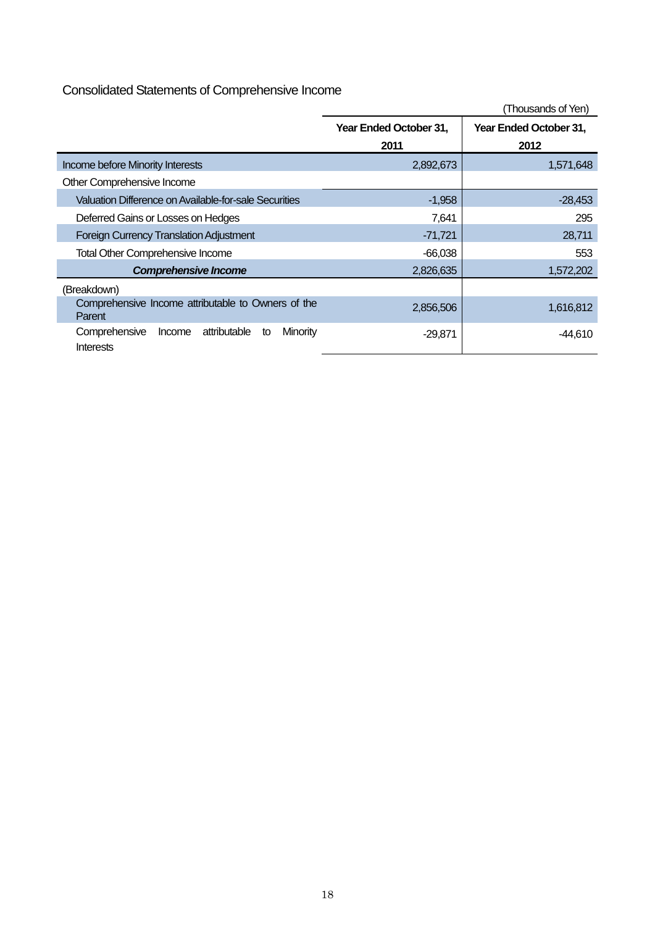# Consolidated Statements of Comprehensive Income

|                                                                        |                                | (Thousands of Yen)             |
|------------------------------------------------------------------------|--------------------------------|--------------------------------|
|                                                                        | Year Ended October 31,<br>2011 | Year Ended October 31,<br>2012 |
| Income before Minority Interests                                       | 2,892,673                      | 1,571,648                      |
| Other Comprehensive Income                                             |                                |                                |
| Valuation Difference on Available-for-sale Securities                  | $-1,958$                       | $-28,453$                      |
| Deferred Gains or Losses on Hedges                                     | 7,641                          | 295                            |
| <b>Foreign Currency Translation Adjustment</b>                         | $-71,721$                      | 28,711                         |
| <b>Total Other Comprehensive Income</b>                                | $-66,038$                      | 553                            |
| <b>Comprehensive Income</b>                                            | 2,826,635                      | 1,572,202                      |
| (Breakdown)                                                            |                                |                                |
| Comprehensive Income attributable to Owners of the<br>Parent           | 2,856,506                      | 1,616,812                      |
| attributable<br>Minority<br>Comprehensive<br>Income<br>to<br>Interests | $-29,871$                      | $-44,610$                      |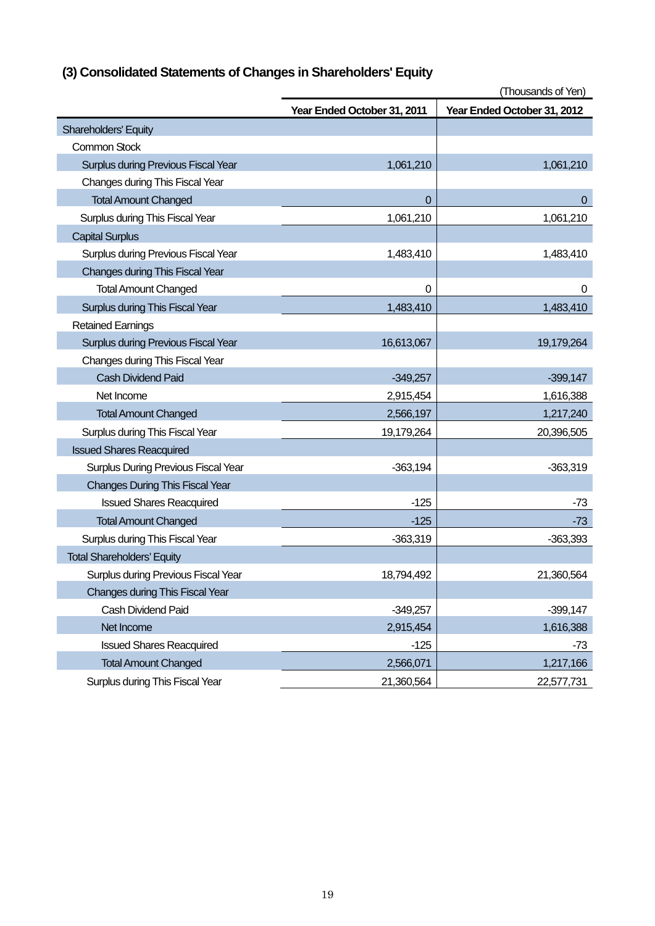|  | (3) Consolidated Statements of Changes in Shareholders' Equity |  |  |
|--|----------------------------------------------------------------|--|--|
|  |                                                                |  |  |

|                                        |                             | (Thousands of Yen)          |
|----------------------------------------|-----------------------------|-----------------------------|
|                                        | Year Ended October 31, 2011 | Year Ended October 31, 2012 |
| Shareholders' Equity                   |                             |                             |
| <b>Common Stock</b>                    |                             |                             |
| Surplus during Previous Fiscal Year    | 1,061,210                   | 1,061,210                   |
| Changes during This Fiscal Year        |                             |                             |
| <b>Total Amount Changed</b>            | $\Omega$                    | 0                           |
| Surplus during This Fiscal Year        | 1,061,210                   | 1,061,210                   |
| <b>Capital Surplus</b>                 |                             |                             |
| Surplus during Previous Fiscal Year    | 1,483,410                   | 1,483,410                   |
| Changes during This Fiscal Year        |                             |                             |
| <b>Total Amount Changed</b>            | 0                           | 0                           |
| Surplus during This Fiscal Year        | 1,483,410                   | 1,483,410                   |
| <b>Retained Earnings</b>               |                             |                             |
| Surplus during Previous Fiscal Year    | 16,613,067                  | 19,179,264                  |
| Changes during This Fiscal Year        |                             |                             |
| <b>Cash Dividend Paid</b>              | $-349,257$                  | $-399,147$                  |
| Net Income                             | 2,915,454                   | 1,616,388                   |
| <b>Total Amount Changed</b>            | 2,566,197                   | 1,217,240                   |
| Surplus during This Fiscal Year        | 19,179,264                  | 20,396,505                  |
| <b>Issued Shares Reacquired</b>        |                             |                             |
| Surplus During Previous Fiscal Year    | $-363,194$                  | $-363,319$                  |
| <b>Changes During This Fiscal Year</b> |                             |                             |
| <b>Issued Shares Reacquired</b>        | $-125$                      | -73                         |
| <b>Total Amount Changed</b>            | $-125$                      | $-73$                       |
| Surplus during This Fiscal Year        | $-363,319$                  | $-363,393$                  |
| <b>Total Shareholders' Equity</b>      |                             |                             |
| Surplus during Previous Fiscal Year    | 18,794,492                  | 21,360,564                  |
| <b>Changes during This Fiscal Year</b> |                             |                             |
| Cash Dividend Paid                     | $-349,257$                  | $-399,147$                  |
| Net Income                             | 2,915,454                   | 1,616,388                   |
| <b>Issued Shares Reacquired</b>        | $-125$                      | $-73$                       |
| <b>Total Amount Changed</b>            | 2,566,071                   | 1,217,166                   |
| Surplus during This Fiscal Year        | 21,360,564                  | 22,577,731                  |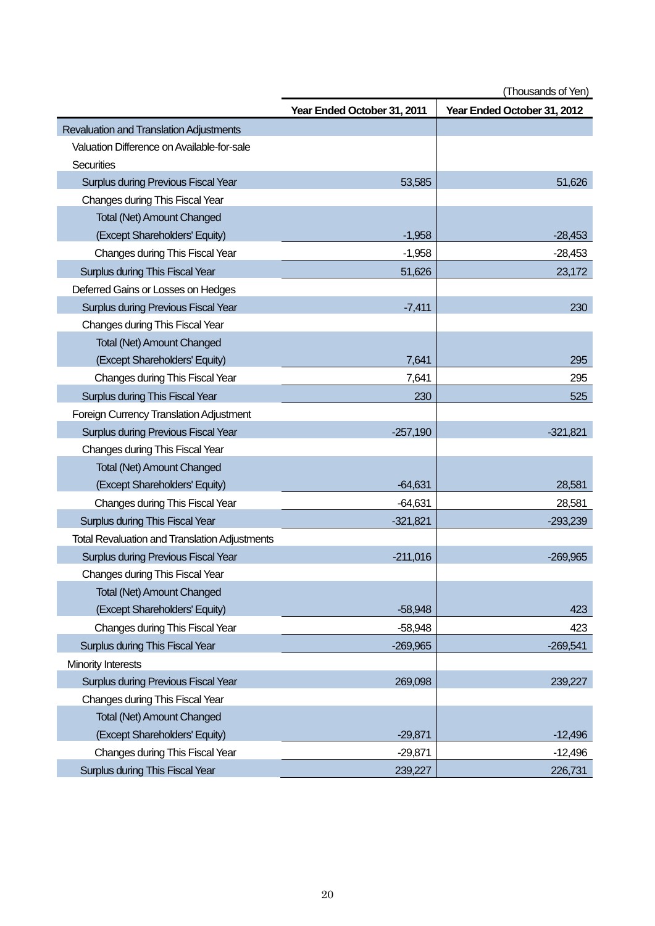| (Thousands of Yen) |  |
|--------------------|--|
|--------------------|--|

|                                                      | Year Ended October 31, 2011 | Year Ended October 31, 2012 |
|------------------------------------------------------|-----------------------------|-----------------------------|
| Revaluation and Translation Adjustments              |                             |                             |
| Valuation Difference on Available-for-sale           |                             |                             |
| Securities                                           |                             |                             |
| <b>Surplus during Previous Fiscal Year</b>           | 53,585                      | 51,626                      |
| Changes during This Fiscal Year                      |                             |                             |
| <b>Total (Net) Amount Changed</b>                    |                             |                             |
| (Except Shareholders' Equity)                        | $-1,958$                    | $-28,453$                   |
| Changes during This Fiscal Year                      | $-1,958$                    | $-28,453$                   |
| Surplus during This Fiscal Year                      | 51,626                      | 23,172                      |
| Deferred Gains or Losses on Hedges                   |                             |                             |
| <b>Surplus during Previous Fiscal Year</b>           | $-7,411$                    | 230                         |
| Changes during This Fiscal Year                      |                             |                             |
| <b>Total (Net) Amount Changed</b>                    |                             |                             |
| (Except Shareholders' Equity)                        | 7,641                       | 295                         |
| Changes during This Fiscal Year                      | 7,641                       | 295                         |
| Surplus during This Fiscal Year                      | 230                         | 525                         |
| Foreign Currency Translation Adjustment              |                             |                             |
| Surplus during Previous Fiscal Year                  | $-257,190$                  | $-321,821$                  |
| Changes during This Fiscal Year                      |                             |                             |
| <b>Total (Net) Amount Changed</b>                    |                             |                             |
| (Except Shareholders' Equity)                        | $-64,631$                   | 28,581                      |
| Changes during This Fiscal Year                      | $-64,631$                   | 28,581                      |
| Surplus during This Fiscal Year                      | $-321,821$                  | $-293,239$                  |
| <b>Total Revaluation and Translation Adjustments</b> |                             |                             |
| <b>Surplus during Previous Fiscal Year</b>           | $-211,016$                  | $-269,965$                  |
| Changes during This Fiscal Year                      |                             |                             |
| <b>Total (Net) Amount Changed</b>                    |                             |                             |
| (Except Shareholders' Equity)                        | $-58,948$                   | 423                         |
| Changes during This Fiscal Year                      | $-58,948$                   | 423                         |
| Surplus during This Fiscal Year                      | $-269,965$                  | $-269,541$                  |
| Minority Interests                                   |                             |                             |
| <b>Surplus during Previous Fiscal Year</b>           | 269,098                     | 239,227                     |
| Changes during This Fiscal Year                      |                             |                             |
| <b>Total (Net) Amount Changed</b>                    |                             |                             |
| (Except Shareholders' Equity)                        | $-29,871$                   | $-12,496$                   |
| Changes during This Fiscal Year                      | $-29,871$                   | $-12,496$                   |
| Surplus during This Fiscal Year                      | 239,227                     | 226,731                     |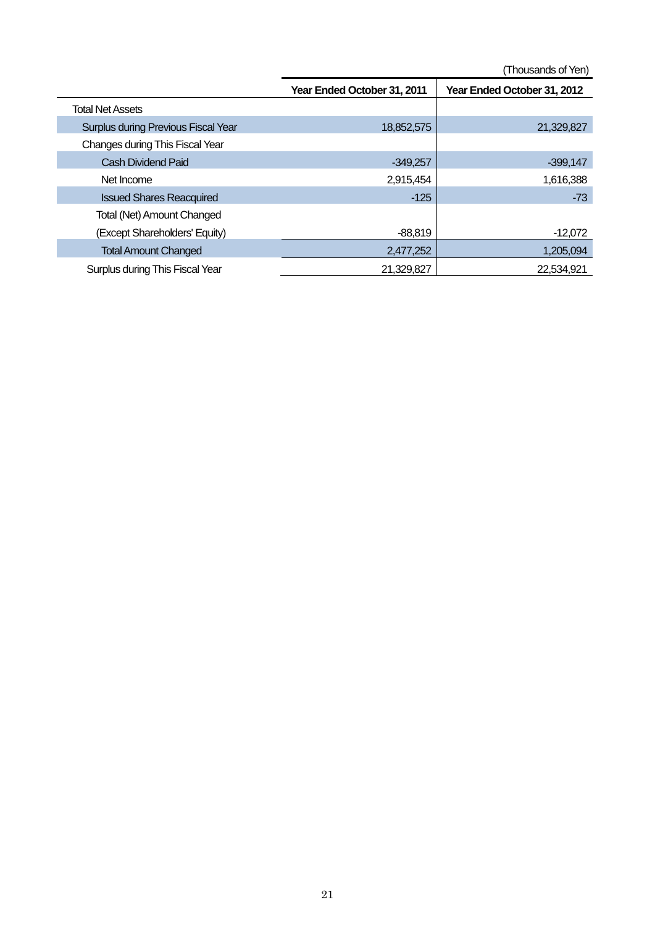(Thousands of Yen)

|                                            | Year Ended October 31, 2011 | Year Ended October 31, 2012 |
|--------------------------------------------|-----------------------------|-----------------------------|
| <b>Total Net Assets</b>                    |                             |                             |
| <b>Surplus during Previous Fiscal Year</b> | 18,852,575                  | 21,329,827                  |
| Changes during This Fiscal Year            |                             |                             |
| Cash Dividend Paid                         | $-349.257$                  | $-399,147$                  |
| Net Income                                 | 2,915,454                   | 1,616,388                   |
| <b>Issued Shares Reacquired</b>            | $-125$                      | $-73$                       |
| Total (Net) Amount Changed                 |                             |                             |
| (Except Shareholders' Equity)              | $-88,819$                   | -12,072                     |
| <b>Total Amount Changed</b>                | 2,477,252                   | 1,205,094                   |
| Surplus during This Fiscal Year            | 21,329,827                  | 22,534,921                  |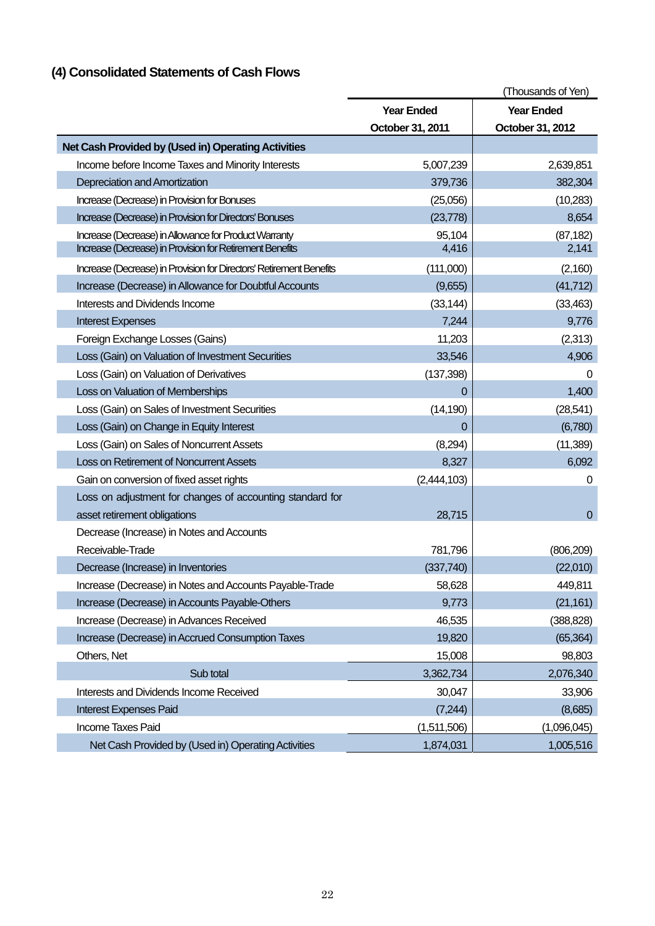# **(4) Consolidated Statements of Cash Flows**

|                                                                     |                   | (Thousands of Yen) |
|---------------------------------------------------------------------|-------------------|--------------------|
|                                                                     | <b>Year Ended</b> | <b>Year Ended</b>  |
|                                                                     | October 31, 2011  | October 31, 2012   |
| Net Cash Provided by (Used in) Operating Activities                 |                   |                    |
| Income before Income Taxes and Minority Interests                   | 5,007,239         | 2,639,851          |
| Depreciation and Amortization                                       | 379,736           | 382,304            |
| Increase (Decrease) in Provision for Bonuses                        | (25,056)          | (10, 283)          |
| Increase (Decrease) in Provision for Directors' Bonuses             | (23, 778)         | 8,654              |
| Increase (Decrease) in Allowance for Product Warranty               | 95,104            | (87, 182)          |
| Increase (Decrease) in Provision for Retirement Benefits            | 4,416             | 2,141              |
| Increase (Decrease) in Provision for Directors' Retirement Benefits | (111,000)         | (2,160)            |
| Increase (Decrease) in Allowance for Doubtful Accounts              | (9,655)           | (41, 712)          |
| Interests and Dividends Income                                      | (33, 144)         | (33, 463)          |
| <b>Interest Expenses</b>                                            | 7,244             | 9,776              |
| Foreign Exchange Losses (Gains)                                     | 11,203            | (2,313)            |
| Loss (Gain) on Valuation of Investment Securities                   | 33,546            | 4,906              |
| Loss (Gain) on Valuation of Derivatives                             | (137, 398)        | 0                  |
| Loss on Valuation of Memberships                                    | 0                 | 1,400              |
| Loss (Gain) on Sales of Investment Securities                       | (14, 190)         | (28, 541)          |
| Loss (Gain) on Change in Equity Interest                            | 0                 | (6,780)            |
| Loss (Gain) on Sales of Noncurrent Assets                           | (8,294)           | (11, 389)          |
| Loss on Retirement of Noncurrent Assets                             | 8,327             | 6,092              |
| Gain on conversion of fixed asset rights                            | (2,444,103)       | 0                  |
| Loss on adjustment for changes of accounting standard for           |                   |                    |
| asset retirement obligations                                        | 28,715            | $\Omega$           |
| Decrease (Increase) in Notes and Accounts                           |                   |                    |
| Receivable-Trade                                                    | 781,796           | (806, 209)         |
| Decrease (Increase) in Inventories                                  | (337,740)         | (22,010)           |
| Increase (Decrease) in Notes and Accounts Payable-Trade             | 58,628            | 449,811            |
| Increase (Decrease) in Accounts Payable-Others                      | 9,773             | (21, 161)          |
| Increase (Decrease) in Advances Received                            | 46,535            | (388, 828)         |
| Increase (Decrease) in Accrued Consumption Taxes                    | 19,820            | (65, 364)          |
| Others, Net                                                         | 15,008            | 98,803             |
| Sub total                                                           | 3,362,734         | 2,076,340          |
| Interests and Dividends Income Received                             | 30,047            | 33,906             |
| <b>Interest Expenses Paid</b>                                       | (7, 244)          | (8,685)            |
| Income Taxes Paid                                                   | (1,511,506)       | (1,096,045)        |
| Net Cash Provided by (Used in) Operating Activities                 | 1,874,031         | 1,005,516          |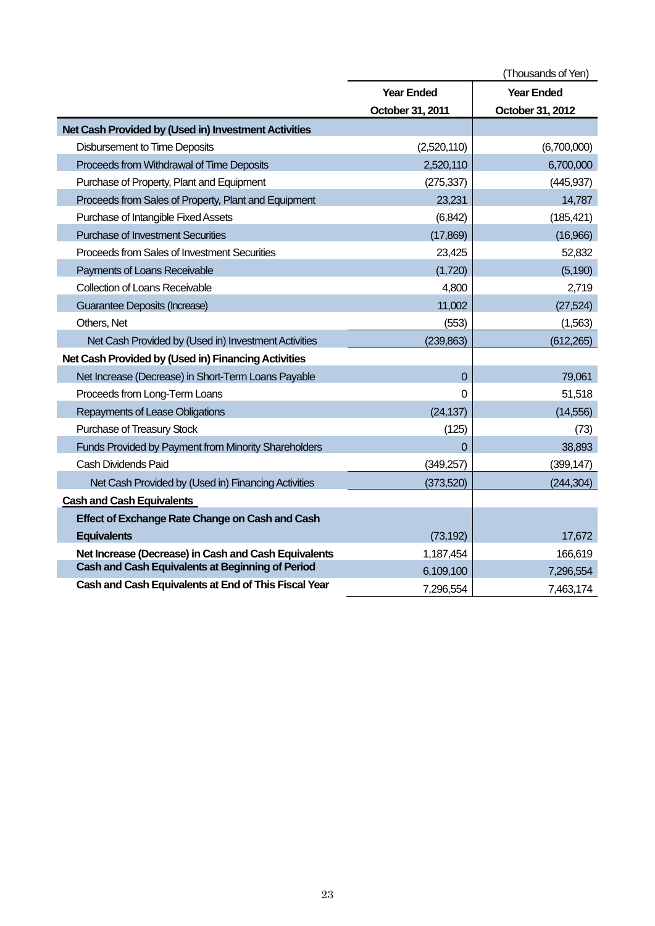|                                                      |                   | (Thousands of Yen) |
|------------------------------------------------------|-------------------|--------------------|
|                                                      | <b>Year Ended</b> | <b>Year Ended</b>  |
|                                                      | October 31, 2011  | October 31, 2012   |
| Net Cash Provided by (Used in) Investment Activities |                   |                    |
| <b>Disbursement to Time Deposits</b>                 | (2,520,110)       | (6,700,000)        |
| Proceeds from Withdrawal of Time Deposits            | 2,520,110         | 6,700,000          |
| Purchase of Property, Plant and Equipment            | (275, 337)        | (445, 937)         |
| Proceeds from Sales of Property, Plant and Equipment | 23,231            | 14,787             |
| Purchase of Intangible Fixed Assets                  | (6, 842)          | (185, 421)         |
| <b>Purchase of Investment Securities</b>             | (17, 869)         | (16,966)           |
| Proceeds from Sales of Investment Securities         | 23,425            | 52,832             |
| Payments of Loans Receivable                         | (1,720)           | (5, 190)           |
| <b>Collection of Loans Receivable</b>                | 4,800             | 2,719              |
| Guarantee Deposits (Increase)                        | 11,002            | (27, 524)          |
| Others, Net                                          | (553)             | (1, 563)           |
| Net Cash Provided by (Used in) Investment Activities | (239, 863)        | (612, 265)         |
| Net Cash Provided by (Used in) Financing Activities  |                   |                    |
| Net Increase (Decrease) in Short-Term Loans Payable  | $\overline{0}$    | 79,061             |
| Proceeds from Long-Term Loans                        | 0                 | 51,518             |
| Repayments of Lease Obligations                      | (24, 137)         | (14, 556)          |
| Purchase of Treasury Stock                           | (125)             | (73)               |
| Funds Provided by Payment from Minority Shareholders | $\Omega$          | 38,893             |
| Cash Dividends Paid                                  | (349, 257)        | (399, 147)         |
| Net Cash Provided by (Used in) Financing Activities  | (373, 520)        | (244, 304)         |
| <b>Cash and Cash Equivalents</b>                     |                   |                    |
| Effect of Exchange Rate Change on Cash and Cash      |                   |                    |
| <b>Equivalents</b>                                   | (73, 192)         | 17,672             |
| Net Increase (Decrease) in Cash and Cash Equivalents | 1,187,454         | 166,619            |
| Cash and Cash Equivalents at Beginning of Period     | 6,109,100         | 7,296,554          |
| Cash and Cash Equivalents at End of This Fiscal Year | 7,296,554         | 7,463,174          |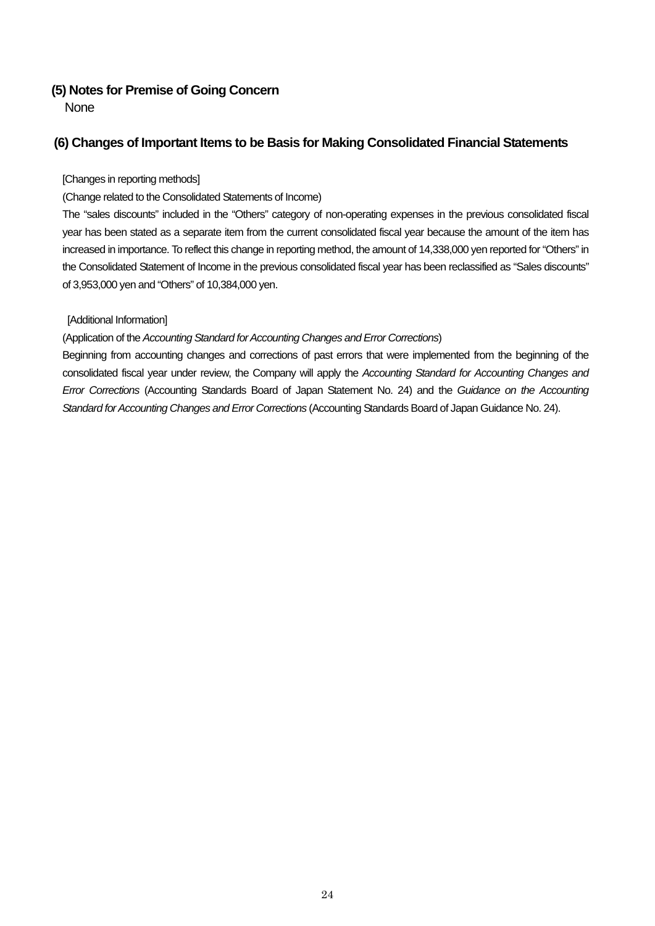# **(5) Notes for Premise of Going Concern**

None

# **(6) Changes of Important Items to be Basis for Making Consolidated Financial Statements**

### [Changes in reporting methods]

# (Change related to the Consolidated Statements of Income)

The "sales discounts" included in the "Others" category of non-operating expenses in the previous consolidated fiscal year has been stated as a separate item from the current consolidated fiscal year because the amount of the item has increased in importance. To reflect this change in reporting method, the amount of 14,338,000 yen reported for "Others" in the Consolidated Statement of Income in the previous consolidated fiscal year has been reclassified as "Sales discounts" of 3,953,000 yen and "Others" of 10,384,000 yen.

# [Additional Information]

## (Application of the *Accounting Standard for Accounting Changes and Error Corrections*)

Beginning from accounting changes and corrections of past errors that were implemented from the beginning of the consolidated fiscal year under review, the Company will apply the *Accounting Standard for Accounting Changes and Error Corrections* (Accounting Standards Board of Japan Statement No. 24) and the *Guidance on the Accounting Standard for Accounting Changes and Error Corrections* (Accounting Standards Board of Japan Guidance No. 24).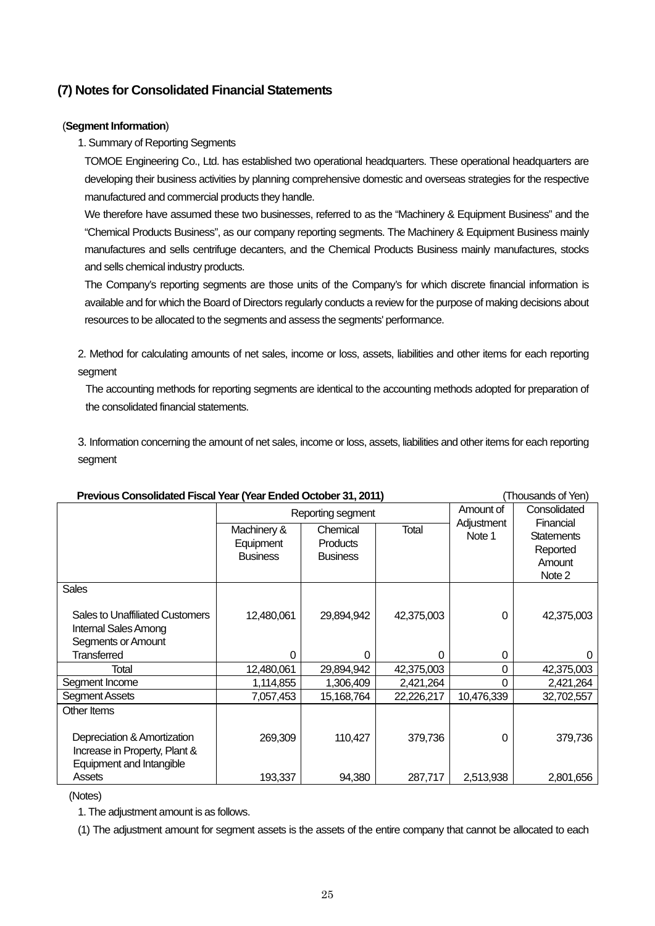# **(7) Notes for Consolidated Financial Statements**

### (**Segment Information**)

# 1. Summary of Reporting Segments

TOMOE Engineering Co., Ltd. has established two operational headquarters. These operational headquarters are developing their business activities by planning comprehensive domestic and overseas strategies for the respective manufactured and commercial products they handle.

We therefore have assumed these two businesses, referred to as the "Machinery & Equipment Business" and the "Chemical Products Business", as our company reporting segments. The Machinery & Equipment Business mainly manufactures and sells centrifuge decanters, and the Chemical Products Business mainly manufactures, stocks and sells chemical industry products.

The Company's reporting segments are those units of the Company's for which discrete financial information is available and for which the Board of Directors regularly conducts a review for the purpose of making decisions about resources to be allocated to the segments and assess the segments' performance.

2. Method for calculating amounts of net sales, income or loss, assets, liabilities and other items for each reporting segment

The accounting methods for reporting segments are identical to the accounting methods adopted for preparation of the consolidated financial statements.

3. Information concerning the amount of net sales, income or loss, assets, liabilities and other items for each reporting segment

| Previous Consolidated Fiscal Year (Year Ended October 31, 2011)                      |                                             |                                                |            |                      | (Thousands of Yen)                                             |
|--------------------------------------------------------------------------------------|---------------------------------------------|------------------------------------------------|------------|----------------------|----------------------------------------------------------------|
|                                                                                      | Reporting segment                           |                                                |            | Amount of            | Consolidated                                                   |
|                                                                                      | Machinery &<br>Equipment<br><b>Business</b> | Chemical<br><b>Products</b><br><b>Business</b> | Total      | Adjustment<br>Note 1 | Financial<br><b>Statements</b><br>Reported<br>Amount<br>Note 2 |
| <b>Sales</b>                                                                         |                                             |                                                |            |                      |                                                                |
| Sales to Unaffiliated Customers<br><b>Internal Sales Among</b><br>Segments or Amount | 12,480,061                                  | 29,894,942                                     | 42,375,003 | 0                    | 42,375,003                                                     |
| Transferred                                                                          | 0                                           | 0                                              | 0          | 0                    |                                                                |
| Total                                                                                | 12,480,061                                  | 29,894,942                                     | 42,375,003 | 0                    | 42,375,003                                                     |
| Segment Income                                                                       | 1,114,855                                   | 1,306,409                                      | 2,421,264  | 0                    | 2,421,264                                                      |
| <b>Segment Assets</b>                                                                | 7,057,453                                   | 15,168,764                                     | 22,226,217 | 10,476,339           | 32,702,557                                                     |
| Other Items<br>Depreciation & Amortization<br>Increase in Property, Plant &          | 269,309                                     | 110,427                                        | 379,736    | 0                    | 379,736                                                        |
| Equipment and Intangible<br>Assets                                                   | 193,337                                     | 94,380                                         | 287,717    | 2,513,938            | 2,801,656                                                      |

(Notes)

1. The adjustment amount is as follows.

(1) The adjustment amount for segment assets is the assets of the entire company that cannot be allocated to each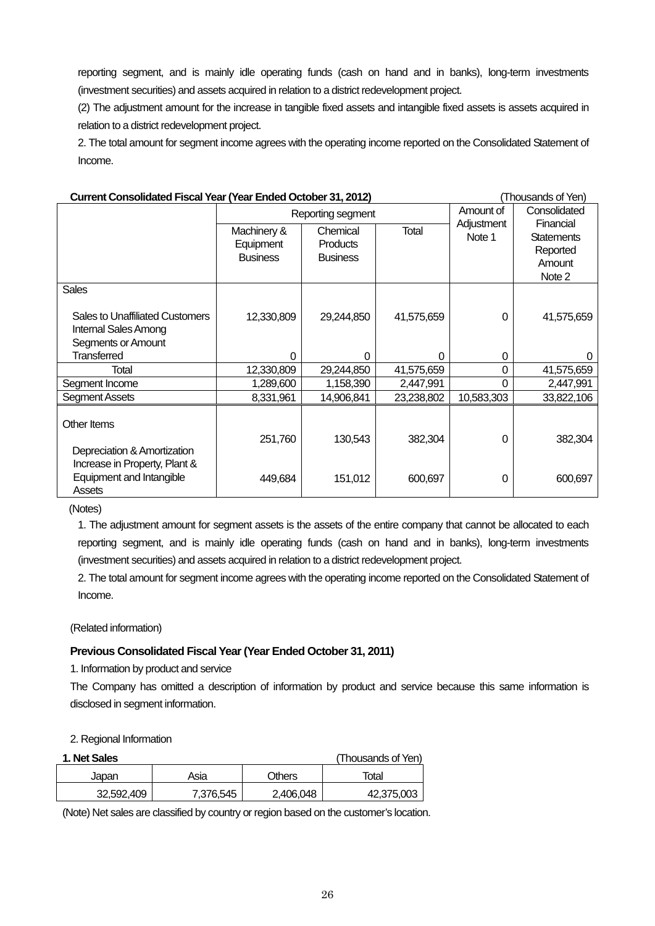reporting segment, and is mainly idle operating funds (cash on hand and in banks), long-term investments (investment securities) and assets acquired in relation to a district redevelopment project.

(2) The adjustment amount for the increase in tangible fixed assets and intangible fixed assets is assets acquired in relation to a district redevelopment project.

2. The total amount for segment income agrees with the operating income reported on the Consolidated Statement of Income.

| Current Consolidated Fiscal Year (Year Ended October 31, 2012)                              |                                             |                                         |              |                      | (Thousands of Yen)                                             |
|---------------------------------------------------------------------------------------------|---------------------------------------------|-----------------------------------------|--------------|----------------------|----------------------------------------------------------------|
|                                                                                             |                                             | Reporting segment                       | Amount of    | Consolidated         |                                                                |
|                                                                                             | Machinery &<br>Equipment<br><b>Business</b> | Chemical<br>Products<br><b>Business</b> | <b>Total</b> | Adjustment<br>Note 1 | Financial<br><b>Statements</b><br>Reported<br>Amount<br>Note 2 |
| <b>Sales</b>                                                                                |                                             |                                         |              |                      |                                                                |
| <b>Sales to Unaffiliated Customers</b><br><b>Internal Sales Among</b><br>Segments or Amount | 12,330,809                                  | 29,244,850                              | 41,575,659   | 0                    | 41,575,659                                                     |
| <b>Transferred</b>                                                                          | 0                                           | $\Omega$                                | 0            | 0                    | O                                                              |
| Total                                                                                       | 12,330,809                                  | 29,244,850                              | 41,575,659   | 0                    | 41,575,659                                                     |
| Segment Income                                                                              | 1,289,600                                   | 1,158,390                               | 2,447,991    | 0                    | 2,447,991                                                      |
| Segment Assets                                                                              | 8,331,961                                   | 14,906,841                              | 23,238,802   | 10,583,303           | 33,822,106                                                     |
| Other Items<br>Depreciation & Amortization                                                  | 251,760                                     | 130,543                                 | 382,304      | $\Omega$             | 382,304                                                        |
| Increase in Property, Plant &<br>Equipment and Intangible<br>Assets                         | 449,684                                     | 151,012                                 | 600,697      | 0                    | 600,697                                                        |

(Notes)

1. The adjustment amount for segment assets is the assets of the entire company that cannot be allocated to each reporting segment, and is mainly idle operating funds (cash on hand and in banks), long-term investments (investment securities) and assets acquired in relation to a district redevelopment project.

2. The total amount for segment income agrees with the operating income reported on the Consolidated Statement of Income.

(Related information)

# **Previous Consolidated Fiscal Year (Year Ended October 31, 2011)**

1. Information by product and service

The Company has omitted a description of information by product and service because this same information is disclosed in segment information.

#### 2. Regional Information

| 1. Net Sales |           |           | (Thousands of Yen) |
|--------------|-----------|-----------|--------------------|
| Japan        | Asia      | Others    | Total              |
| 32,592,409   | 7,376,545 | 2.406.048 | 42,375,003         |

(Note) Net sales are classified by country or region based on the customer's location.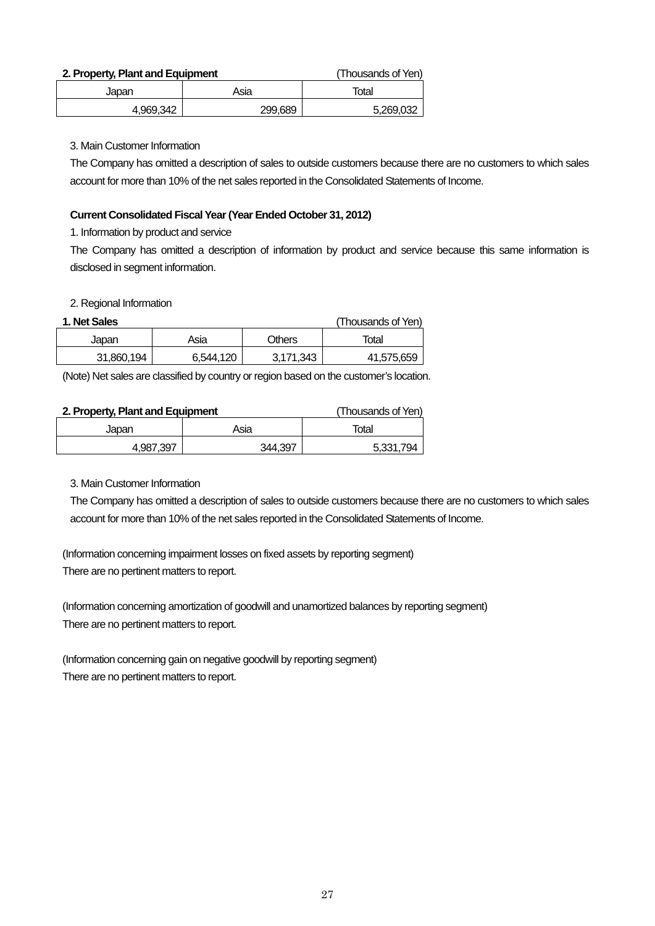#### **2. Property, Plant and Equipment** (Thousands of Yen)

| Japan     | Asia    | Total     |
|-----------|---------|-----------|
| 4,969,342 | 299,689 | 5,269,032 |

#### 3. Main Customer Information

The Company has omitted a description of sales to outside customers because there are no customers to which sales account for more than 10% of the net sales reported in the Consolidated Statements of Income.

#### **Current Consolidated Fiscal Year (Year Ended October 31, 2012)**

1. Information by product and service

The Company has omitted a description of information by product and service because this same information is disclosed in segment information.

2. Regional Information

### **1. Net Sales** (Thousands of Yen)

| טשוויי ו   |           |               | ווטוריט שטוושט |
|------------|-----------|---------------|----------------|
| Japan      | Asia      | <b>Others</b> | Total          |
| 31.860.194 | 6.544.120 | 3.171.343     | 41,575,659     |
|            |           |               |                |

(Note) Net sales are classified by country or region based on the customer's location.

#### **2. Property, Plant and Equipment** (Thousands of Yen)

Japan | Asia | Total 4.987.397 344.397 344.397

3. Main Customer Information

The Company has omitted a description of sales to outside customers because there are no customers to which sales account for more than 10% of the net sales reported in the Consolidated Statements of Income.

(Information concerning impairment losses on fixed assets by reporting segment) There are no pertinent matters to report.

(Information concerning amortization of goodwill and unamortized balances by reporting segment) There are no pertinent matters to report.

(Information concerning gain on negative goodwill by reporting segment) There are no pertinent matters to report.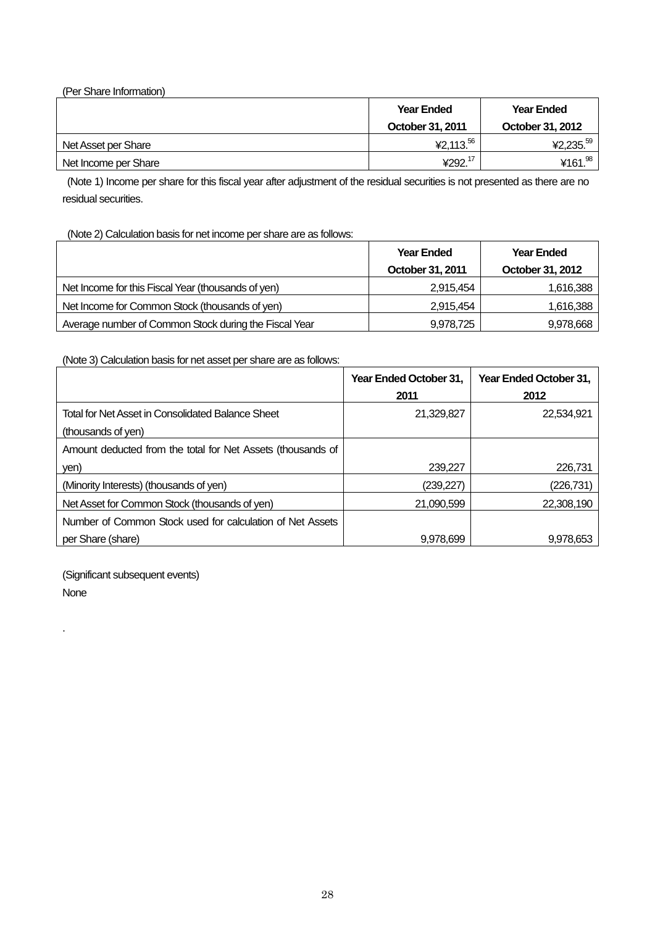| (Per Share Information) |                   |                   |
|-------------------------|-------------------|-------------------|
|                         | <b>Year Ended</b> | <b>Year Ended</b> |
|                         | October 31, 2011  | October 31, 2012  |
| Net Asset per Share     | ¥2,113. $56$      | ¥2,235.59         |
| Net Income per Share    | ¥292.17           | ¥161. $98$        |

(Note 1) Income per share for this fiscal year after adjustment of the residual securities is not presented as there are no residual securities.

(Note 2) Calculation basis for net income per share are as follows:

|                                                       | <b>Year Ended</b> | <b>Year Ended</b> |
|-------------------------------------------------------|-------------------|-------------------|
|                                                       | October 31, 2011  | October 31, 2012  |
| Net Income for this Fiscal Year (thousands of yen)    | 2,915,454         | 1,616,388         |
| Net Income for Common Stock (thousands of yen)        | 2,915,454         | 1,616,388         |
| Average number of Common Stock during the Fiscal Year | 9,978,725         | 9,978,668         |

(Note 3) Calculation basis for net asset per share are as follows:

|                                                             | Year Ended October 31, | Year Ended October 31, |
|-------------------------------------------------------------|------------------------|------------------------|
|                                                             | 2011                   | 2012                   |
| Total for Net Asset in Consolidated Balance Sheet           | 21,329,827             | 22,534,921             |
| (thousands of yen)                                          |                        |                        |
| Amount deducted from the total for Net Assets (thousands of |                        |                        |
| yen)                                                        | 239,227                | 226.731                |
| (Minority Interests) (thousands of yen)                     | (239,227)              | (226,731)              |
| Net Asset for Common Stock (thousands of yen)               | 21.090.599             | 22,308,190             |
| Number of Common Stock used for calculation of Net Assets   |                        |                        |
| per Share (share)                                           | 9.978.699              | 9.978.653              |

(Significant subsequent events)

None

.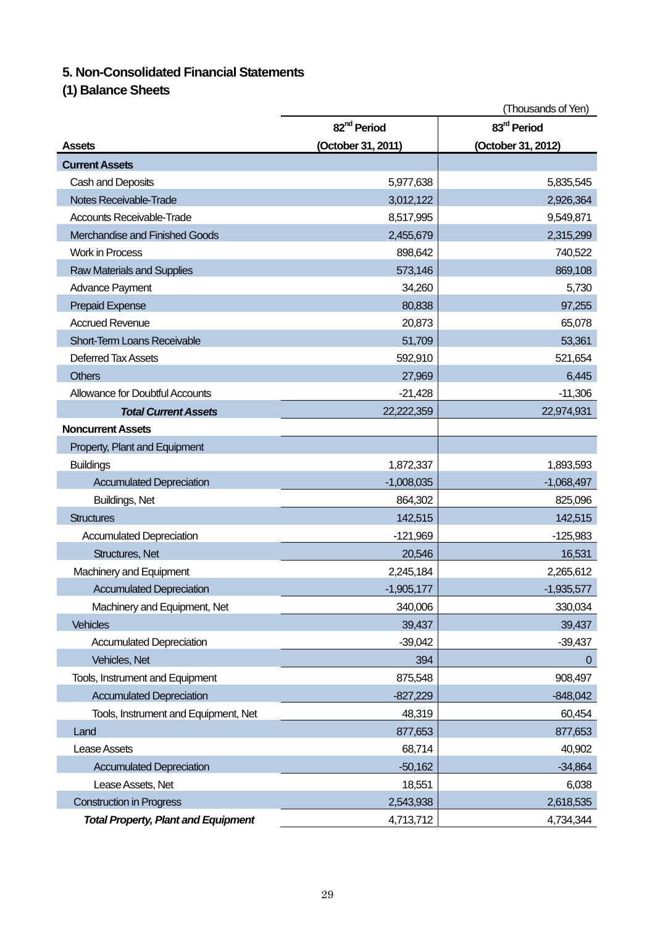# **5. Non-Consolidated Financial Statements**

**(1) Balance Sheets** 

|                                            |                         | (Thousands of Yen)      |
|--------------------------------------------|-------------------------|-------------------------|
|                                            | 82 <sup>nd</sup> Period | 83 <sup>rd</sup> Period |
| Assets                                     | (October 31, 2011)      | (October 31, 2012)      |
| <b>Current Assets</b>                      |                         |                         |
| Cash and Deposits                          | 5,977,638               | 5,835,545               |
| Notes Receivable-Trade                     | 3,012,122               | 2,926,364               |
| <b>Accounts Receivable-Trade</b>           | 8,517,995               | 9,549,871               |
| Merchandise and Finished Goods             | 2,455,679               | 2,315,299               |
| <b>Work in Process</b>                     | 898,642                 | 740,522                 |
| <b>Raw Materials and Supplies</b>          | 573,146                 | 869,108                 |
| Advance Payment                            | 34,260                  | 5,730                   |
| <b>Prepaid Expense</b>                     | 80,838                  | 97,255                  |
| <b>Accrued Revenue</b>                     | 20,873                  | 65,078                  |
| Short-Term Loans Receivable                | 51,709                  | 53,361                  |
| Deferred Tax Assets                        | 592,910                 | 521,654                 |
| <b>Others</b>                              | 27,969                  | 6,445                   |
| <b>Allowance for Doubtful Accounts</b>     | $-21,428$               | $-11,306$               |
| <b>Total Current Assets</b>                | 22,222,359              | 22,974,931              |
| <b>Noncurrent Assets</b>                   |                         |                         |
| Property, Plant and Equipment              |                         |                         |
| <b>Buildings</b>                           | 1,872,337               | 1,893,593               |
| <b>Accumulated Depreciation</b>            | $-1,008,035$            | $-1,068,497$            |
| Buildings, Net                             | 864,302                 | 825,096                 |
| <b>Structures</b>                          | 142,515                 | 142,515                 |
| <b>Accumulated Depreciation</b>            | $-121,969$              | $-125,983$              |
| Structures, Net                            | 20,546                  | 16,531                  |
| Machinery and Equipment                    | 2,245,184               | 2,265,612               |
| <b>Accumulated Depreciation</b>            | $-1,905,177$            | $-1,935,577$            |
| Machinery and Equipment, Net               | 340,006                 | 330,034                 |
| <b>Vehicles</b>                            | 39,437                  | 39,437                  |
| <b>Accumulated Depreciation</b>            | $-39,042$               | $-39,437$               |
| Vehicles, Net                              | 394                     | $\overline{0}$          |
| Tools, Instrument and Equipment            | 875,548                 | 908,497                 |
| <b>Accumulated Depreciation</b>            | $-827,229$              | $-848,042$              |
| Tools, Instrument and Equipment, Net       | 48,319                  | 60,454                  |
| Land                                       | 877,653                 | 877,653                 |
| Lease Assets                               | 68,714                  | 40,902                  |
| <b>Accumulated Depreciation</b>            | $-50,162$               | $-34,864$               |
| Lease Assets, Net                          | 18,551                  | 6,038                   |
| <b>Construction in Progress</b>            | 2,543,938               | 2,618,535               |
| <b>Total Property, Plant and Equipment</b> | 4,713,712               | 4,734,344               |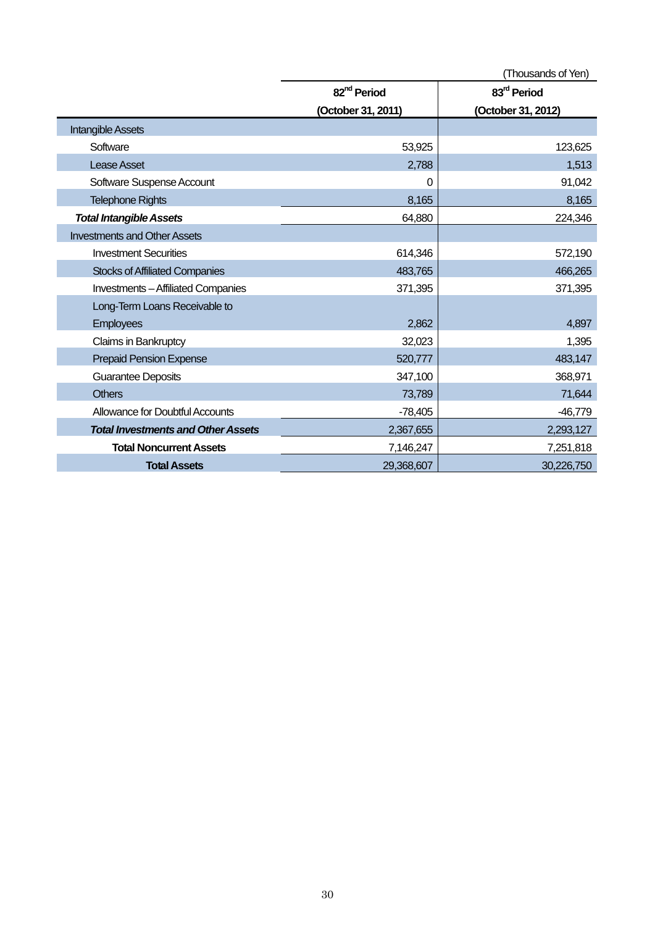|                                           |                         | (Thousands of Yen)      |
|-------------------------------------------|-------------------------|-------------------------|
|                                           | 82 <sup>nd</sup> Period | 83 <sup>rd</sup> Period |
|                                           | (October 31, 2011)      | (October 31, 2012)      |
| <b>Intangible Assets</b>                  |                         |                         |
| Software                                  | 53,925                  | 123,625                 |
| <b>Lease Asset</b>                        | 2,788                   | 1,513                   |
| Software Suspense Account                 | 0                       | 91,042                  |
| <b>Telephone Rights</b>                   | 8,165                   | 8,165                   |
| <b>Total Intangible Assets</b>            | 64,880                  | 224,346                 |
| <b>Investments and Other Assets</b>       |                         |                         |
| <b>Investment Securities</b>              | 614,346                 | 572,190                 |
| <b>Stocks of Affiliated Companies</b>     | 483,765                 | 466,265                 |
| <b>Investments-Affiliated Companies</b>   | 371,395                 | 371,395                 |
| Long-Term Loans Receivable to             |                         |                         |
| <b>Employees</b>                          | 2,862                   | 4,897                   |
| Claims in Bankruptcy                      | 32,023                  | 1,395                   |
| <b>Prepaid Pension Expense</b>            | 520,777                 | 483,147                 |
| <b>Guarantee Deposits</b>                 | 347,100                 | 368,971                 |
| <b>Others</b>                             | 73,789                  | 71,644                  |
| <b>Allowance for Doubtful Accounts</b>    | $-78,405$               | $-46,779$               |
| <b>Total Investments and Other Assets</b> | 2,367,655               | 2,293,127               |
| <b>Total Noncurrent Assets</b>            | 7,146,247               | 7,251,818               |
| <b>Total Assets</b>                       | 29,368,607              | 30,226,750              |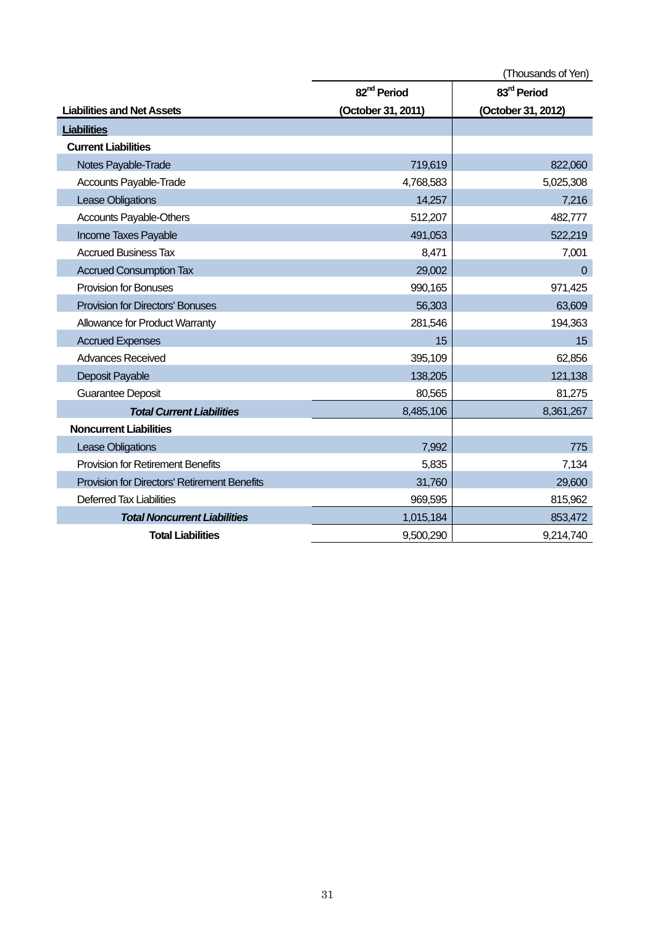|                                              |                         | (Thousands of Yen)      |
|----------------------------------------------|-------------------------|-------------------------|
|                                              | 82 <sup>nd</sup> Period | 83 <sup>rd</sup> Period |
| <b>Liabilities and Net Assets</b>            | (October 31, 2011)      | (October 31, 2012)      |
| <b>Liabilities</b>                           |                         |                         |
| <b>Current Liabilities</b>                   |                         |                         |
| Notes Payable-Trade                          | 719,619                 | 822,060                 |
| Accounts Payable-Trade                       | 4,768,583               | 5,025,308               |
| Lease Obligations                            | 14,257                  | 7,216                   |
| Accounts Payable-Others                      | 512,207                 | 482,777                 |
| Income Taxes Payable                         | 491,053                 | 522,219                 |
| <b>Accrued Business Tax</b>                  | 8,471                   | 7,001                   |
| <b>Accrued Consumption Tax</b>               | 29,002                  | $\overline{0}$          |
| <b>Provision for Bonuses</b>                 | 990,165                 | 971,425                 |
| <b>Provision for Directors' Bonuses</b>      | 56,303                  | 63,609                  |
| Allowance for Product Warranty               | 281,546                 | 194,363                 |
| <b>Accrued Expenses</b>                      | 15                      | 15                      |
| <b>Advances Received</b>                     | 395,109                 | 62,856                  |
| Deposit Payable                              | 138,205                 | 121,138                 |
| <b>Guarantee Deposit</b>                     | 80,565                  | 81,275                  |
| <b>Total Current Liabilities</b>             | 8,485,106               | 8,361,267               |
| <b>Noncurrent Liabilities</b>                |                         |                         |
| Lease Obligations                            | 7,992                   | 775                     |
| <b>Provision for Retirement Benefits</b>     | 5,835                   | 7,134                   |
| Provision for Directors' Retirement Benefits | 31,760                  | 29,600                  |
| <b>Deferred Tax Liabilities</b>              | 969,595                 | 815,962                 |
| <b>Total Noncurrent Liabilities</b>          | 1,015,184               | 853,472                 |
| <b>Total Liabilities</b>                     | 9,500,290               | 9,214,740               |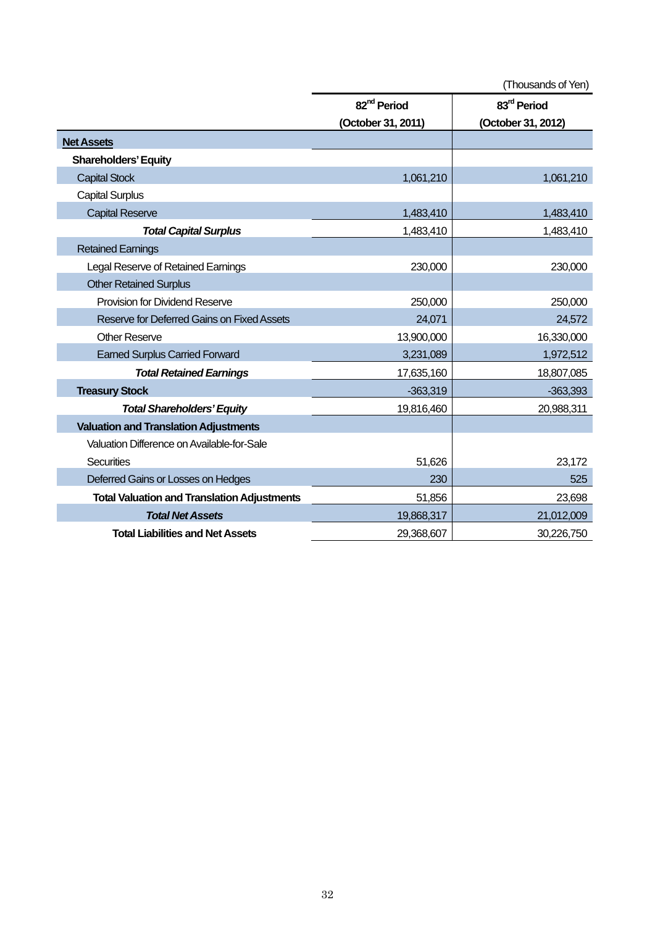|                                                    | (Thousands of Yen)      |                         |
|----------------------------------------------------|-------------------------|-------------------------|
|                                                    | 82 <sup>nd</sup> Period | 83 <sup>rd</sup> Period |
|                                                    | (October 31, 2011)      | (October 31, 2012)      |
| <b>Net Assets</b>                                  |                         |                         |
| <b>Shareholders' Equity</b>                        |                         |                         |
| <b>Capital Stock</b>                               | 1,061,210               | 1,061,210               |
| <b>Capital Surplus</b>                             |                         |                         |
| <b>Capital Reserve</b>                             | 1,483,410               | 1,483,410               |
| <b>Total Capital Surplus</b>                       | 1,483,410               | 1,483,410               |
| <b>Retained Earnings</b>                           |                         |                         |
| Legal Reserve of Retained Earnings                 | 230,000                 | 230,000                 |
| <b>Other Retained Surplus</b>                      |                         |                         |
| <b>Provision for Dividend Reserve</b>              | 250,000                 | 250,000                 |
| Reserve for Deferred Gains on Fixed Assets         | 24,071                  | 24,572                  |
| <b>Other Reserve</b>                               | 13,900,000              | 16,330,000              |
| <b>Earned Surplus Carried Forward</b>              | 3,231,089               | 1,972,512               |
| <b>Total Retained Earnings</b>                     | 17,635,160              | 18,807,085              |
| <b>Treasury Stock</b>                              | $-363,319$              | $-363,393$              |
| <b>Total Shareholders' Equity</b>                  | 19,816,460              | 20,988,311              |
| <b>Valuation and Translation Adjustments</b>       |                         |                         |
| Valuation Difference on Available-for-Sale         |                         |                         |
| <b>Securities</b>                                  | 51,626                  | 23,172                  |
| Deferred Gains or Losses on Hedges                 | 230                     | 525                     |
| <b>Total Valuation and Translation Adjustments</b> | 51,856                  | 23,698                  |
| <b>Total Net Assets</b>                            | 19,868,317              | 21,012,009              |
| <b>Total Liabilities and Net Assets</b>            | 29,368,607              | 30,226,750              |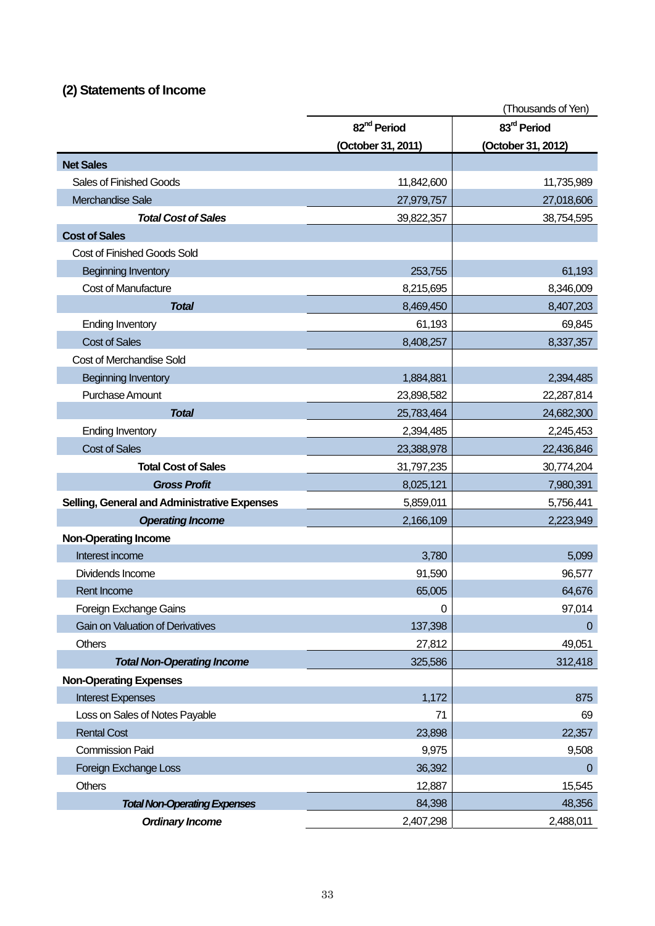# **(2) Statements of Income**

|                                              |                         | (Thousands of Yen)      |
|----------------------------------------------|-------------------------|-------------------------|
|                                              | 82 <sup>nd</sup> Period | 83 <sup>rd</sup> Period |
|                                              | (October 31, 2011)      | (October 31, 2012)      |
| <b>Net Sales</b>                             |                         |                         |
| <b>Sales of Finished Goods</b>               | 11,842,600              | 11,735,989              |
| Merchandise Sale                             | 27,979,757              | 27,018,606              |
| <b>Total Cost of Sales</b>                   | 39,822,357              | 38,754,595              |
| <b>Cost of Sales</b>                         |                         |                         |
| <b>Cost of Finished Goods Sold</b>           |                         |                         |
| <b>Beginning Inventory</b>                   | 253,755                 | 61,193                  |
| <b>Cost of Manufacture</b>                   | 8,215,695               | 8,346,009               |
| <b>Total</b>                                 | 8,469,450               | 8,407,203               |
| <b>Ending Inventory</b>                      | 61,193                  | 69,845                  |
| <b>Cost of Sales</b>                         | 8,408,257               | 8,337,357               |
| <b>Cost of Merchandise Sold</b>              |                         |                         |
| <b>Beginning Inventory</b>                   | 1,884,881               | 2,394,485               |
| Purchase Amount                              | 23,898,582              | 22,287,814              |
| <b>Total</b>                                 | 25,783,464              | 24,682,300              |
| <b>Ending Inventory</b>                      | 2,394,485               | 2,245,453               |
| <b>Cost of Sales</b>                         | 23,388,978              | 22,436,846              |
| <b>Total Cost of Sales</b>                   | 31,797,235              | 30,774,204              |
| <b>Gross Profit</b>                          | 8,025,121               | 7,980,391               |
| Selling, General and Administrative Expenses | 5,859,011               | 5,756,441               |
| <b>Operating Income</b>                      | 2,166,109               | 2,223,949               |
| <b>Non-Operating Income</b>                  |                         |                         |
| Interest income                              | 3,780                   | 5,099                   |
| Dividends Income                             | 91,590                  | 96,577                  |
| <b>Rent Income</b>                           | 65,005                  | 64,676                  |
| Foreign Exchange Gains                       | $\mathbf 0$             | 97,014                  |
| <b>Gain on Valuation of Derivatives</b>      | 137,398                 | $\overline{0}$          |
| <b>Others</b>                                | 27,812                  | 49,051                  |
| <b>Total Non-Operating Income</b>            | 325,586                 | 312,418                 |
| <b>Non-Operating Expenses</b>                |                         |                         |
| <b>Interest Expenses</b>                     | 1,172                   | 875                     |
| Loss on Sales of Notes Payable               | 71                      | 69                      |
| <b>Rental Cost</b>                           | 23,898                  | 22,357                  |
| <b>Commission Paid</b>                       | 9,975                   | 9,508                   |
| Foreign Exchange Loss                        | 36,392                  | $\overline{0}$          |
| <b>Others</b>                                | 12,887                  | 15,545                  |
| <b>Total Non-Operating Expenses</b>          | 84,398                  | 48,356                  |
| <b>Ordinary Income</b>                       | 2,407,298               | 2,488,011               |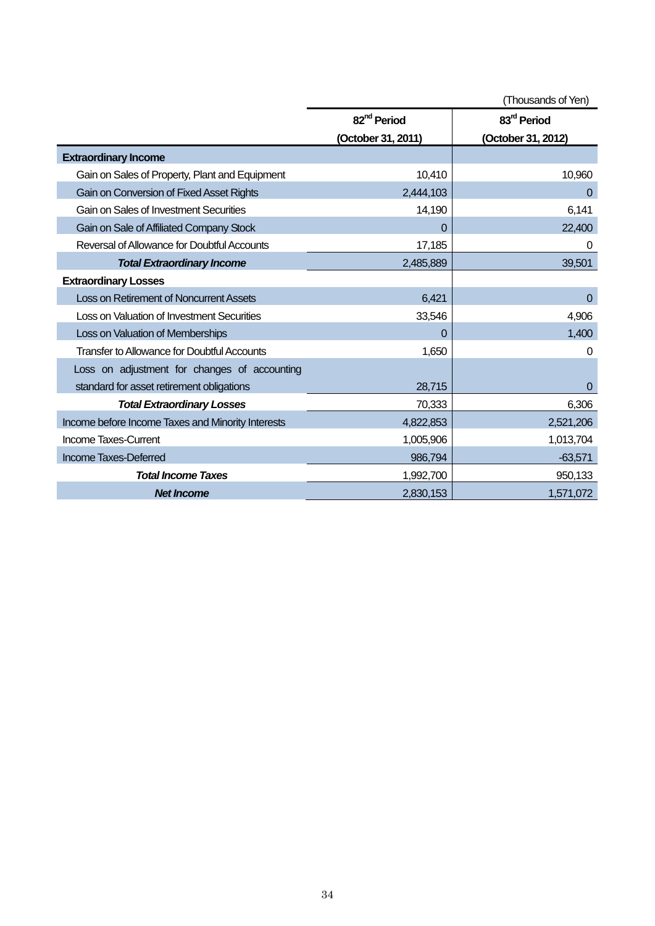|                                                    |                         | (Thousands of Yen)      |
|----------------------------------------------------|-------------------------|-------------------------|
|                                                    | 82 <sup>nd</sup> Period | 83 <sup>rd</sup> Period |
|                                                    | (October 31, 2011)      | (October 31, 2012)      |
| <b>Extraordinary Income</b>                        |                         |                         |
| Gain on Sales of Property, Plant and Equipment     | 10,410                  | 10,960                  |
| Gain on Conversion of Fixed Asset Rights           | 2,444,103               | 0                       |
| Gain on Sales of Investment Securities             | 14,190                  | 6,141                   |
| Gain on Sale of Affiliated Company Stock           | 0                       | 22,400                  |
| Reversal of Allowance for Doubtful Accounts        | 17,185                  | 0                       |
| <b>Total Extraordinary Income</b>                  | 2,485,889               | 39,501                  |
| <b>Extraordinary Losses</b>                        |                         |                         |
| Loss on Retirement of Noncurrent Assets            | 6,421                   | $\Omega$                |
| Loss on Valuation of Investment Securities         | 33,546                  | 4,906                   |
| Loss on Valuation of Memberships                   | 0                       | 1,400                   |
| <b>Transfer to Allowance for Doubtful Accounts</b> | 1,650                   | 0                       |
| Loss on adjustment for changes of accounting       |                         |                         |
| standard for asset retirement obligations          | 28,715                  | $\overline{0}$          |
| <b>Total Extraordinary Losses</b>                  | 70,333                  | 6,306                   |
| Income before Income Taxes and Minority Interests  | 4,822,853               | 2,521,206               |
| Income Taxes-Current                               | 1,005,906               | 1,013,704               |
| Income Taxes-Deferred                              | 986,794                 | $-63,571$               |
| <b>Total Income Taxes</b>                          | 1,992,700               | 950,133                 |
| <b>Net Income</b>                                  | 2,830,153               | 1,571,072               |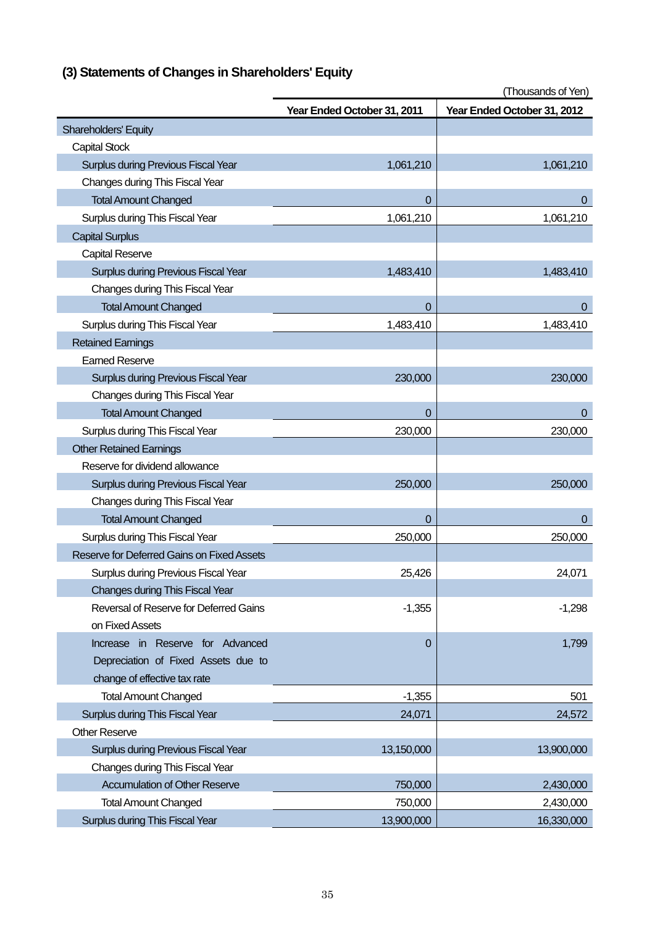|                                            | Year Ended October 31, 2011 | Year Ended October 31, 2012 |
|--------------------------------------------|-----------------------------|-----------------------------|
| <b>Shareholders' Equity</b>                |                             |                             |
| <b>Capital Stock</b>                       |                             |                             |
| Surplus during Previous Fiscal Year        | 1,061,210                   | 1,061,210                   |
| Changes during This Fiscal Year            |                             |                             |
| <b>Total Amount Changed</b>                | 0                           | 0                           |
| Surplus during This Fiscal Year            | 1,061,210                   | 1,061,210                   |
| <b>Capital Surplus</b>                     |                             |                             |
| <b>Capital Reserve</b>                     |                             |                             |
| <b>Surplus during Previous Fiscal Year</b> | 1,483,410                   | 1,483,410                   |
| Changes during This Fiscal Year            |                             |                             |
| <b>Total Amount Changed</b>                | 0                           | 0                           |
| Surplus during This Fiscal Year            | 1,483,410                   | 1,483,410                   |
| <b>Retained Earnings</b>                   |                             |                             |
| <b>Earned Reserve</b>                      |                             |                             |
| <b>Surplus during Previous Fiscal Year</b> | 230,000                     | 230,000                     |
| Changes during This Fiscal Year            |                             |                             |
| <b>Total Amount Changed</b>                | $\overline{0}$              | $\mathbf 0$                 |
| Surplus during This Fiscal Year            | 230,000                     | 230,000                     |
| <b>Other Retained Earnings</b>             |                             |                             |
| Reserve for dividend allowance             |                             |                             |
| <b>Surplus during Previous Fiscal Year</b> | 250,000                     | 250,000                     |
| Changes during This Fiscal Year            |                             |                             |
| <b>Total Amount Changed</b>                | 0                           | $\pmb{0}$                   |
| Surplus during This Fiscal Year            | 250,000                     | 250,000                     |
| Reserve for Deferred Gains on Fixed Assets |                             |                             |
| Surplus during Previous Fiscal Year        | 25,426                      | 24,071                      |
| Changes during This Fiscal Year            |                             |                             |
| Reversal of Reserve for Deferred Gains     | $-1,355$                    | $-1,298$                    |
| on Fixed Assets                            |                             |                             |
| Increase in Reserve for Advanced           | 0                           | 1,799                       |
| Depreciation of Fixed Assets due to        |                             |                             |
| change of effective tax rate               |                             |                             |
| <b>Total Amount Changed</b>                | $-1,355$                    | 501                         |
| Surplus during This Fiscal Year            | 24,071                      | 24,572                      |
| <b>Other Reserve</b>                       |                             |                             |
| <b>Surplus during Previous Fiscal Year</b> | 13,150,000                  | 13,900,000                  |
| Changes during This Fiscal Year            |                             |                             |
| <b>Accumulation of Other Reserve</b>       | 750,000                     | 2,430,000                   |
| <b>Total Amount Changed</b>                | 750,000                     | 2,430,000                   |
| Surplus during This Fiscal Year            | 13,900,000                  | 16,330,000                  |

# **(3) Statements of Changes in Shareholders' Equity**

(Thousands of Yen)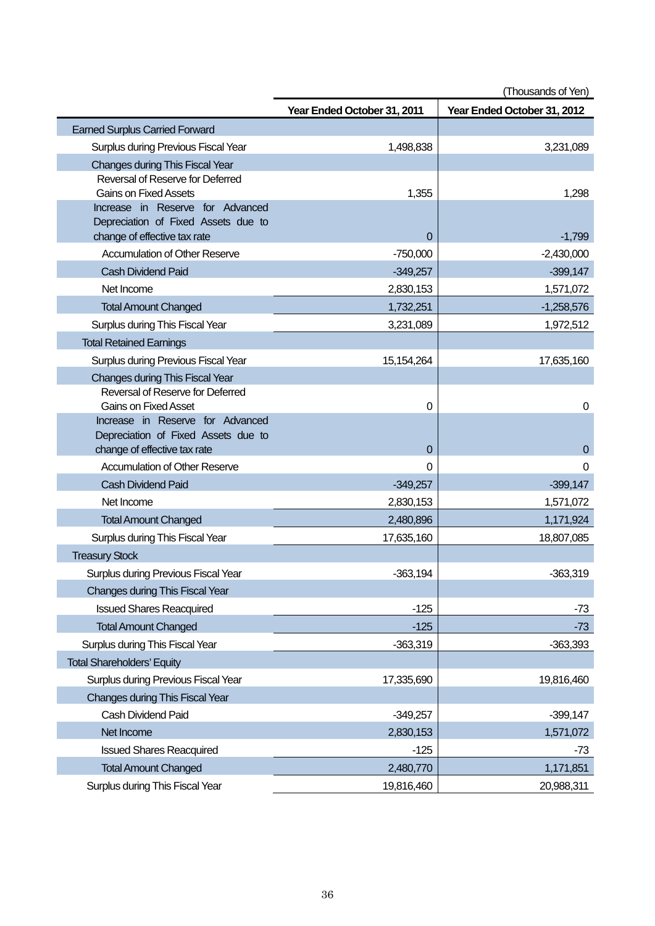|                                                                  | (Thousands of Yen)          |                             |
|------------------------------------------------------------------|-----------------------------|-----------------------------|
|                                                                  | Year Ended October 31, 2011 | Year Ended October 31, 2012 |
| <b>Earned Surplus Carried Forward</b>                            |                             |                             |
| Surplus during Previous Fiscal Year                              | 1,498,838                   | 3,231,089                   |
| Changes during This Fiscal Year                                  |                             |                             |
| Reversal of Reserve for Deferred                                 |                             |                             |
| <b>Gains on Fixed Assets</b><br>Increase in Reserve for Advanced | 1,355                       | 1,298                       |
| Depreciation of Fixed Assets due to                              |                             |                             |
| change of effective tax rate                                     | 0                           | $-1,799$                    |
| <b>Accumulation of Other Reserve</b>                             | $-750,000$                  | $-2,430,000$                |
| <b>Cash Dividend Paid</b>                                        | $-349,257$                  | $-399,147$                  |
| Net Income                                                       | 2,830,153                   | 1,571,072                   |
| <b>Total Amount Changed</b>                                      | 1,732,251                   | $-1,258,576$                |
| Surplus during This Fiscal Year                                  | 3,231,089                   | 1,972,512                   |
| <b>Total Retained Earnings</b>                                   |                             |                             |
| Surplus during Previous Fiscal Year                              | 15,154,264                  | 17,635,160                  |
| <b>Changes during This Fiscal Year</b>                           |                             |                             |
| Reversal of Reserve for Deferred                                 |                             |                             |
| <b>Gains on Fixed Asset</b><br>Increase in Reserve for Advanced  | 0                           | 0                           |
| Depreciation of Fixed Assets due to                              |                             |                             |
| change of effective tax rate                                     | $\Omega$                    | $\mathbf 0$                 |
| <b>Accumulation of Other Reserve</b>                             | $\Omega$                    | $\Omega$                    |
| <b>Cash Dividend Paid</b>                                        | $-349,257$                  | $-399,147$                  |
| Net Income                                                       | 2,830,153                   | 1,571,072                   |
| <b>Total Amount Changed</b>                                      | 2,480,896                   | 1,171,924                   |
| Surplus during This Fiscal Year                                  | 17,635,160                  | 18,807,085                  |
| <b>Treasury Stock</b>                                            |                             |                             |
| Surplus during Previous Fiscal Year                              | $-363,194$                  | $-363,319$                  |
| Changes during This Fiscal Year                                  |                             |                             |
| <b>Issued Shares Reacquired</b>                                  | $-125$                      | $-73$                       |
| <b>Total Amount Changed</b>                                      | $-125$                      | $-73$                       |
| Surplus during This Fiscal Year                                  | $-363,319$                  | $-363,393$                  |
| <b>Total Shareholders' Equity</b>                                |                             |                             |
| Surplus during Previous Fiscal Year                              | 17,335,690                  | 19,816,460                  |
| Changes during This Fiscal Year                                  |                             |                             |
| Cash Dividend Paid                                               | $-349,257$                  | $-399,147$                  |
| Net Income                                                       | 2,830,153                   | 1,571,072                   |
| <b>Issued Shares Reacquired</b>                                  | $-125$                      | $-73$                       |
| <b>Total Amount Changed</b>                                      | 2,480,770                   | 1,171,851                   |
| Surplus during This Fiscal Year                                  | 19,816,460                  | 20,988,311                  |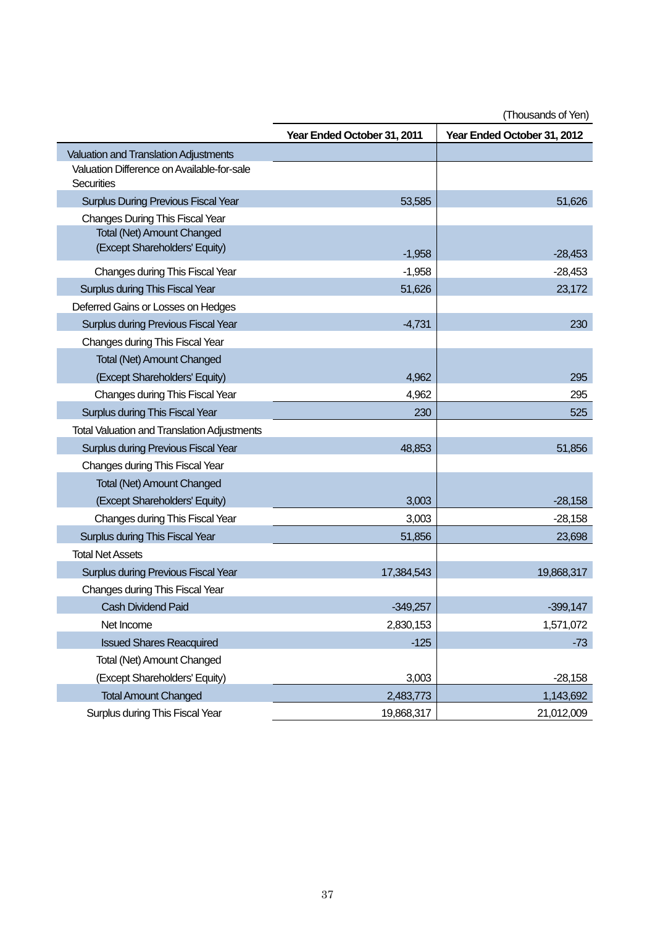|                                                          | Year Ended October 31, 2011 | Year Ended October 31, 2012 |
|----------------------------------------------------------|-----------------------------|-----------------------------|
| <b>Valuation and Translation Adjustments</b>             |                             |                             |
| Valuation Difference on Available-for-sale<br>Securities |                             |                             |
| <b>Surplus During Previous Fiscal Year</b>               | 53,585                      | 51,626                      |
| <b>Changes During This Fiscal Year</b>                   |                             |                             |
| <b>Total (Net) Amount Changed</b>                        |                             |                             |
| (Except Shareholders' Equity)                            | $-1,958$                    | $-28,453$                   |
| Changes during This Fiscal Year                          | $-1,958$                    | $-28,453$                   |
| Surplus during This Fiscal Year                          | 51,626                      | 23,172                      |
| Deferred Gains or Losses on Hedges                       |                             |                             |
| <b>Surplus during Previous Fiscal Year</b>               | $-4,731$                    | 230                         |
| Changes during This Fiscal Year                          |                             |                             |
| <b>Total (Net) Amount Changed</b>                        |                             |                             |
| (Except Shareholders' Equity)                            | 4,962                       | 295                         |
| Changes during This Fiscal Year                          | 4,962                       | 295                         |
| Surplus during This Fiscal Year                          | 230                         | 525                         |
| <b>Total Valuation and Translation Adjustments</b>       |                             |                             |
| Surplus during Previous Fiscal Year                      | 48,853                      | 51,856                      |
| Changes during This Fiscal Year                          |                             |                             |
| <b>Total (Net) Amount Changed</b>                        |                             |                             |
| (Except Shareholders' Equity)                            | 3,003                       | $-28,158$                   |
| Changes during This Fiscal Year                          | 3,003                       | $-28,158$                   |
| Surplus during This Fiscal Year                          | 51,856                      | 23,698                      |
| <b>Total Net Assets</b>                                  |                             |                             |
| <b>Surplus during Previous Fiscal Year</b>               | 17,384,543                  | 19,868,317                  |
| Changes during This Fiscal Year                          |                             |                             |
| <b>Cash Dividend Paid</b>                                | $-349,257$                  | $-399,147$                  |
| Net Income                                               | 2,830,153                   | 1,571,072                   |
| <b>Issued Shares Reacquired</b>                          | $-125$                      | $-73$                       |
| <b>Total (Net) Amount Changed</b>                        |                             |                             |
| (Except Shareholders' Equity)                            | 3,003                       | $-28,158$                   |
| <b>Total Amount Changed</b>                              | 2,483,773                   | 1,143,692                   |
| Surplus during This Fiscal Year                          | 19,868,317                  | 21,012,009                  |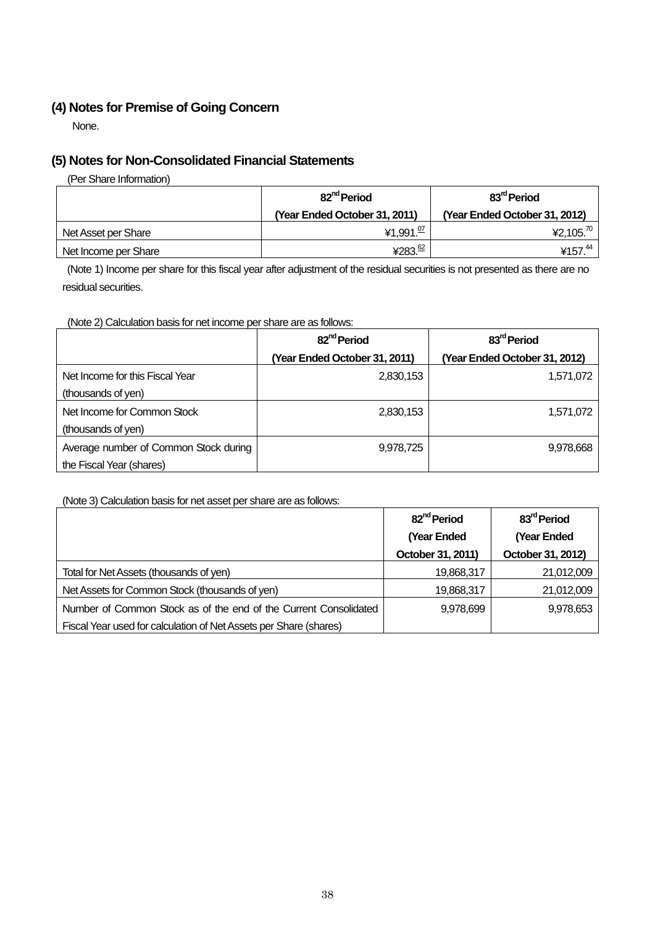# **(4) Notes for Premise of Going Concern**

None.

# **(5) Notes for Non-Consolidated Financial Statements**

(Per Share Information)

|                      | 82 <sup>nd</sup> Period       | 83 <sup>rd</sup> Period       |  |
|----------------------|-------------------------------|-------------------------------|--|
|                      | (Year Ended October 31, 2011) | (Year Ended October 31, 2012) |  |
| Net Asset per Share  | ¥1,991. $\frac{07}{1}$        | ¥2,105. <sup>70</sup>         |  |
| Net Income per Share | ¥283. <sup>62</sup>           | ¥157. <sup>44</sup>           |  |

(Note 1) Income per share for this fiscal year after adjustment of the residual securities is not presented as there are no residual securities.

(Note 2) Calculation basis for net income per share are as follows:

|                                       | 82 <sup>nd</sup> Period       | 83 <sup>rd</sup> Period       |  |
|---------------------------------------|-------------------------------|-------------------------------|--|
|                                       | (Year Ended October 31, 2011) | (Year Ended October 31, 2012) |  |
| Net Income for this Fiscal Year       | 2,830,153                     | 1,571,072                     |  |
| (thousands of yen)                    |                               |                               |  |
| Net Income for Common Stock           | 2,830,153                     | 1,571,072                     |  |
| (thousands of yen)                    |                               |                               |  |
| Average number of Common Stock during | 9,978,725                     | 9,978,668                     |  |
| the Fiscal Year (shares)              |                               |                               |  |

#### (Note 3) Calculation basis for net asset per share are as follows:

|                                                                   | 82 <sup>nd</sup> Period | 83 <sup>rd</sup> Period |
|-------------------------------------------------------------------|-------------------------|-------------------------|
|                                                                   | (Year Ended             | (Year Ended             |
|                                                                   | October 31, 2011)       | October 31, 2012)       |
| Total for Net Assets (thousands of yen)                           | 19,868,317              | 21,012,009              |
| Net Assets for Common Stock (thousands of yen)                    | 19,868,317              | 21,012,009              |
| Number of Common Stock as of the end of the Current Consolidated  | 9,978,699               | 9,978,653               |
| Fiscal Year used for calculation of Net Assets per Share (shares) |                         |                         |